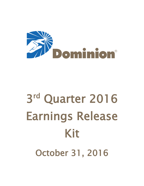

# 3 rd Quarter 2016 Earnings Release Kit October 31, 2016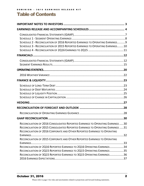# Table of Contents

| SCHEDULE 2 - RECONCILIATION OF 2016 REPORTED EARNINGS TO OPERATING EARNINGS9<br>SCHEDULE 3 - RECONCILIATION OF 2015 REPORTED EARNINGS TO OPERATING EARNINGS10                                                                                 |  |
|-----------------------------------------------------------------------------------------------------------------------------------------------------------------------------------------------------------------------------------------------|--|
|                                                                                                                                                                                                                                               |  |
|                                                                                                                                                                                                                                               |  |
|                                                                                                                                                                                                                                               |  |
|                                                                                                                                                                                                                                               |  |
|                                                                                                                                                                                                                                               |  |
|                                                                                                                                                                                                                                               |  |
|                                                                                                                                                                                                                                               |  |
|                                                                                                                                                                                                                                               |  |
|                                                                                                                                                                                                                                               |  |
|                                                                                                                                                                                                                                               |  |
| RECONCILIATION OF 2016 CONSOLIDATED REPORTED EARNINGS TO OPERATING EARNINGS 30<br>RECONCILIATION OF 2015 CONSOLIDATED REPORTED EARNINGS TO OPERATING EARNINGS 31<br>RECONCILIATION OF 2016 CORPORATE AND OTHER REPORTED EARNINGS TO OPERATING |  |
| RECONCILIATION OF 2015 CORPORATE AND OTHER REPORTED EARNINGS TO OPERATING                                                                                                                                                                     |  |
| RECONCILIATION OF 2Q16 REPORTED EARNINGS TO 2Q16 OPERATING EARNINGS34<br>RECONCILIATION OF 2Q15 REPORTED EARNINGS TO 2Q15 OPERATING EARNINGS35<br>RECONCILIATION OF 3Q15 REPORTED EARNINGS TO 3Q15 OPERATING EARNINGS36                       |  |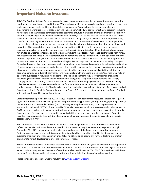# <span id="page-2-0"></span>Important Notes to Investors

This 3Q16 Earnings Release Kit contains certain forward-looking statements, including our forecasted operating earnings for the fourth-quarter and full-year 2016 which are subject to various risks and uncertainties. Factors that could cause actual results to differ materially from management's projections, forecasts, estimates and expectations may include factors that are beyond the company's ability to control or estimate precisely, including fluctuations in energy-related commodity prices, estimates of future market conditions, additional competition in our industries, changes in the demand for Dominion's services, access to and costs of capital, fluctuations in the value of our pension assets and assets held in our decommissioning trusts, impacts of acquisitions, divestitures, transfers of assets to joint ventures or Dominion Midstream and retirements of assets based on asset portfolio reviews, the receipt of approvals for, and timing of, closing dates for acquisitions and divestitures, the timing and execution of Dominion Midstream's growth strategy, and the ability to complete planned construction or expansion projects at all or within the terms and timeframes initially anticipated. Other factors include, but are not limited to, weather conditions and other events, including the effects of hurricanes, earthquakes, high winds, major storms and changes in water temperatures on operations, the risk associated with the operation of nuclear facilities, unplanned outages at facilities in which Dominion has an ownership interest, the impact of operational hazards and catastrophic events, state and federal legislative and regulatory developments, including changes in federal and state tax laws and changes to environmental and other laws and regulations, including those related to climate change, greenhouse gases and other emissions to which we are subject, changes in enforcement practices of regulators relating to environmental standards and litigation exposure for remedial activities, political and economic conditions, industrial, commercial and residential growth or decline in Dominion's service area, risks of operating businesses in regulated industries that are subject to changing regulatory structures, changes to regulated gas and electric rates collected by Dominion, changes to rating agency requirements and ratings, changing financial accounting standards, fluctuations in interest rates, employee workforce factors, including collective bargaining, counter-party credit and performance risks, adverse outcomes in litigation matters or regulatory proceedings, the risk of hostile cyber intrusions and other uncertainties. Other risk factors are detailed from time to time in Dominion's quarterly reports on Form 10-Q or most recent annual report on Form 10-K filed with the Securities and Exchange Commission.

Certain information provided in this 3Q16 Earnings Release Kit includes financial measures that are not required by, or presented in accordance with generally accepted accounting principles (GAAP), including operating earnings before interest and taxes (Adjusted EBIT) and operating earnings before interest, taxes, depreciation and amortization (Adjusted EBITDA). These non-GAAP financial measures should not be considered as alternatives to GAAP measures, such as net income, operating income, or earnings per share, and may be calculated differently from, and therefore may not be comparable to, similarly titled measures used at other companies. Dominion has included reconciliations to the most directly comparable financial measures it is able to calculate and report in accordance with GAAP.

The consolidated financial data and statistics in this 3Q16 Earnings Release Kit and its individual components reflect the financial position and operating results of Dominion and its primary operating segments through September 30, 2016. Independent auditors have not audited any of the financial and operating statements. Projections or forecasts shown in this document are based on the assumptions listed in this document and are subject to change at any time. Dominion undertakes no obligation to update any forward-looking information statement to reflect developments after the statement is made.

This 3Q16 Earnings Release Kit has been prepared primarily for securities analysts and investors in the hope that it will serve as a convenient and useful reference document. The format of this release kit may change in the future as we continue to try to meet the needs of securities analysts and investors. This 3Q16 Earnings Release Kit is not intended for use in connection with any sale, offer to sell, or solicitation of any offer to buy securities.

Please continue to check our website regularly at [www.dom.com/investors.](http://www.dom.com/investors)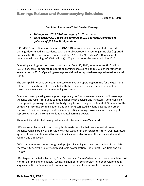<span id="page-3-0"></span>Earnings Release and Accompanying Schedules

October 31, 2016

**Dominion Announces Third-Quarter Earnings**

- *Third-quarter 2016 GAAP earnings of \$1.10 per share*
- *Third-quarter 2016 operating earnings of \$1.14 per share compared to guidance of \$0.95 to \$1.10 per share*

RICHMOND, Va. – Dominion Resources (NYSE: D) today announced unaudited reported earnings determined in accordance with Generally Accepted Accounting Principles (reported earnings) for the three months ended Sept. 30, 2016, of \$690 million (\$1.10 per share) compared with earnings of \$593 million (\$1.00 per share) for the same period in 2015.

Operating earnings for the three months ended Sept. 30, 2016, amounted to \$716 million (\$1.14 per share), compared to operating earnings of \$611 million (\$1.03 per share) for the same period in 2015. Operating earnings are defined as reported earnings adjusted for certain items.

The principal difference between reported earnings and operating earnings for the quarter is related to transaction costs associated with the Dominion Questar combination and our investments in nuclear decommissioning trust funds.

Dominion uses operating earnings as the primary performance measurement of its earnings guidance and results for public communications with analysts and investors. Dominion also uses operating earnings internally for budgeting, for reporting to the Board of Directors, for the company's incentive compensation plans and for its targeted dividend payouts and other purposes. Dominion management believes operating earnings provide a more meaningful representation of the company's fundamental earnings power.

Thomas F. Farrell II, chairman, president and chief executive officer, said:

"We are very pleased with our strong third-quarter results that came in well above our guidance range partially as a result of warmer weather in our service territory. Our integrated system of power stations and transmission lines were able to meet the increased demand reliably and effectively.

"We continue to execute on our growth projects including starting construction of the 1,588 megawatt Greensville County combined cycle power station. The project is on-time and onbudget.

"Our large contracted solar farms, Four Brothers and Three Cedars in Utah, were completed last month, on time and on budget. We have a number of solar projects under development in Virginia and North Carolina and continue to see demand for renewables from our customers.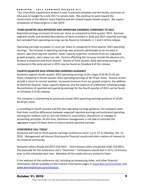## DOMINION - 3Q16 EARNINGS RELEASE KIT

"Our Cove Point Liquefaction project is now 75 percent complete and the facility continues on time and on budget for a late 2017 in-service date. We continue to work toward the construction of the Atlantic Coast Pipeline and the related Supply Header project. We expect completion of these projects in late 2019."

## *THIRD-QUARTER 2016 REPORTED AND OPERATING EARNINGS COMPARED TO 2015*

Reported earnings increased 10 cents per share as compared to third-quarter 2015. Business segment results and detailed descriptions of items included in 2016 and 2015 reported earnings but excluded from operating earnings can be found on Schedules 1, 2 and 3 of this release.

Operating earnings increased 11 cents per share as compared to third-quarter 2015 operating earnings. The increase in operating earnings was primarily attributable to an increase in electric sales from warmer weather, lower capacity expenses, revenues from our regulated growth projects, and a lower tax rate. Factors offsetting the increase include the absence of a farmout transaction and share dilution. Details of third-quarter 2016 operating earnings as compared to the same period in 2015 may be found on Schedule 4 of this release.

## *FOURTH-QUARTER 2016 OPERATING EARNINGS GUIDANCE*

Dominion expects fourth-quarter 2016 operating earnings in the range of \$0.90-\$1.05 per share, compared to fourth-quarter 2015 operating earnings of \$0.70 per share. Positive drivers include a return to normal weather, increased revenues from our growth projects, the addition of Dominion Questar, lower capacity expenses and the absence of a Millstone refueling outage. Reconciliation of reported and operating earnings for the fourth quarter of 2015 can be found on Schedule 3 of this release.

The company is maintaining its previously issued 2016 operating earnings guidance of \$3.60- \$4.00 per share.

In providing its fourth-quarter and full-year operating earnings guidance, the company notes that there could be differences between expected reported earnings and estimated operating earnings for matters such as, but not limited to, acquisitions, divestitures or changes in accounting principles. At this time, Dominion management is not able to estimate the aggregate impact of these items on future period reported earnings.

## *CONFERENCE CALL TODAY*

Dominion will host its third-quarter earnings conference call at 1 p.m. ET on Monday, Oct. 31, 2016. Management will discuss third-quarter financial results and other matters of interest to the financial community.

Domestic callers should dial (877) 410-5657. International callers should dial (334) 323-9872. The passcode for the conference call is "Dominion." Participants should dial in 10 to 15 minutes prior to the scheduled start time. Members of the media also are invited to listen.

A live webcast of the conference call, including accompanying slides, and other financial information will be available on the investor information pages at [www.dom.com/investors](http://www.dom.com/investors) and [www.dommidstream.com/investors.](http://www.dommidstream.com/investors)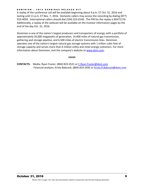## DOMINION - 3Q16 EARNINGS RELEASE KIT

A replay of the conference call will be available beginning about 4 p.m. ET Oct. 31, 2016 and lasting until 11 p.m. ET Nov. 7, 2016. Domestic callers may access the recording by dialing (877) 919-4059. International callers should dial (334) 323-0140. The PIN for the replay is 85471176. Additionally, a replay of the webcast will be available on the investor information pages by the end of the day Oct. 31, 2016.

Dominion is one of the nation's largest producers and transporters of energy, with a portfolio of approximately 26,000 megawatts of generation, 14,400 miles of natural gas transmission, gathering and storage pipeline, and 6,500 miles of electric transmission lines. Dominion operates one of the nation's largest natural gas storage systems with 1 trillion cubic feet of storage capacity and serves more than 6 million utility and retail energy customers. For more information about Dominion, visit the company's website at [www.dom.com.](http://www.dom.com/)

## #####

**CONTACTS:** Media: Ryan Frazier, (804) 819-2521 o[r C.Ryan.Frazier@dom.com](mailto:C.Ryan.Frazier@dom.com) Financial analysts: Kristy Babcock, (804) 819-2492 or Kristy.R.Babcock@dom.com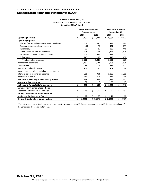## <span id="page-6-0"></span>Consolidated Financial Statements (GAAP)

## **DOMINION RESOURCES, INC. CONSOLIDATED STATEMENTS OF INCOME\* Unaudited (GAAP Based)**

|                                                  | <b>Three Months Ended</b> | <b>Nine Months Ended</b> |             |               |  |
|--------------------------------------------------|---------------------------|--------------------------|-------------|---------------|--|
|                                                  | September 30,             |                          |             | September 30, |  |
|                                                  | 2016                      | 2015                     |             | 2015          |  |
| <b>Operating Revenue</b>                         | \$<br>3,132               | \$<br>2,971              | \$<br>8,651 | \$<br>9,127   |  |
| <b>Operating Expenses</b>                        |                           |                          |             |               |  |
| Electric fuel and other energy-related purchases | 606                       | 636                      | 1,791       | 2,180         |  |
| Purchased (excess) electric capacity             | (6)                       | 75                       | 107         | 259           |  |
| Purchased gas                                    | 77                        | 85                       | 252         | 446           |  |
| Other operations and maintenance                 | 778                       | 564                      | 2,146       | 1,875         |  |
| Depreciation, depletion and amortization         | 400                       | 355                      | 1,112       | 1,037         |  |
| Other taxes                                      | 145                       | 133                      | 448         | 432           |  |
| Total operating expenses                         | 2,000                     | 1,848                    | 5,856       | 6,229         |  |
| Income from operations                           | 1,132                     | 1,123                    | 2,795       | 2,898         |  |
| Other income                                     | 63                        | 11                       | 189         | 127           |  |
| Interest and related charges                     | 237                       | 230                      | 702         | 674           |  |
| Income from operations including noncontrolling  |                           |                          |             |               |  |
| interests before income tax expense              | 958                       | 904                      | 2,282       | 2,351         |  |
| Income tax expense                               | 230                       | 305                      | 561         | 794           |  |
| Net Income Including Noncontrolling Interests    | 728                       | 599                      | 1,721       | 1,557         |  |
| <b>Noncontrolling Interests</b>                  | 38                        | 6                        | 55          | 15            |  |
| <b>Net Income Attributable to Dominion</b>       | \$<br>690                 | \$<br>593                | \$<br>1,666 | \$<br>1,542   |  |
| Earnings Per Common Share - Basic                |                           |                          |             |               |  |
| Net Income Attributable to Dominion              | \$<br>1.10                | \$<br>1.00               | \$<br>2.72  | \$<br>2.61    |  |
| Earnings Per Common Share - Diluted              |                           |                          |             |               |  |
| Net Income Attributable to Dominion              | \$<br>1.10                | \$<br>1.00               | \$<br>2.71  | \$<br>2.60    |  |
| Dividends declared per common share              | \$<br>0.7000              | \$0.6475                 | \$2.1000    | \$1.9425      |  |

\*The notes contained in Dominion's most recent quarterly report on Form 10-Q or annual report on Form 10-K are an integral part of the Consolidated Financial Statements.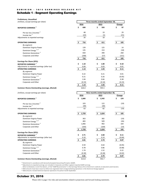## DOMINION - 3Q16 EARNINGS RELEASE KIT

# <span id="page-7-0"></span>Schedule 1 - Segment Operating Earnings

| <b>Preliminary, Unaudited</b>                                             |                                  |                                 |                    |
|---------------------------------------------------------------------------|----------------------------------|---------------------------------|--------------------|
| (millions, except earnings per share)                                     | Three months ended September 30, |                                 |                    |
|                                                                           | 2016                             | 2015                            | Change             |
| <b>REPORTED EARNINGS<sup>1</sup></b>                                      | \$<br>690                        | \$<br>593                       | \$<br>97           |
| Pre-tax loss (income) <sup>2</sup>                                        | 48                               | 19                              | 29                 |
| Income tax <sup>2</sup>                                                   | (22)                             | (1)                             | (21)               |
| Adjustments to reported earnings                                          | 26                               | 18                              | 8                  |
| <b>OPERATING EARNINGS</b>                                                 | \$<br>716                        | \$<br>611                       | \$<br>105          |
| By segment:                                                               |                                  |                                 |                    |
| Dominion Virginia Power                                                   | 139                              | 125                             | 14                 |
| Dominion Energy <sup>3,4</sup>                                            | 135                              | 153                             | (18)               |
| Dominion Generation <sup>3</sup>                                          | 650                              | 390                             | 260                |
| Corporate and Other                                                       | (208)                            | (57)                            | (151)              |
|                                                                           | 716<br>S                         | 611<br>S                        | 105<br>\$.         |
| <b>Earnings Per Share (EPS):</b>                                          |                                  |                                 |                    |
| <b>REPORTED EARNINGS<sup>1</sup></b>                                      | \$<br>1.10                       | \$<br>1.00                      | \$<br>0.10         |
| Adjustments to reported earnings (after tax)<br><b>OPERATING EARNINGS</b> | 0.04<br>\$<br>1.14               | 0.03<br>\$<br>1.03              | 0.01<br>\$<br>0.11 |
| By segment:                                                               |                                  |                                 |                    |
| Dominion Virginia Power                                                   | 0.22                             | 0.21                            | 0.01               |
| Dominion Energy <sup>3,4</sup>                                            | 0.21                             | 0.26                            | (0.05)             |
| Dominion Generation <sup>3</sup>                                          | 1.04                             | 0.66                            | 0.38               |
| Corporate and Other                                                       | (0.33)                           | (0.10)                          | (0.23)             |
|                                                                           | 1.14<br>Ś                        | \$<br>1.03                      | Ś<br>0.11          |
| Common Shares Outstanding (average, diluted)                              | 626.0                            | 595.5                           |                    |
| (millions, except earnings per share)                                     |                                  | Nine months ended September 30, |                    |
|                                                                           | 2016                             | 2015                            | Change             |
| <b>REPORTED EARNINGS<sup>1</sup></b>                                      | \$<br>1,666                      | \$<br>1,542                     | \$<br>124          |
| Pre-tax loss (income) <sup>2</sup>                                        | 103                              | 122                             | (19)               |
| Income tax $2$                                                            | (40)                             | (40)                            |                    |
| Adjustments to reported earnings                                          | 63                               | 82                              | (19)               |
| <b>OPERATING EARNINGS</b>                                                 | 1,729                            | 1,624<br>\$                     | \$<br>105          |
| By segment:                                                               |                                  |                                 |                    |
| Dominion Virginia Power                                                   | 363                              | 382                             | (19)               |
| Dominion Energy <sup>3,4</sup>                                            | 483                              | 509                             | (26)               |
| Dominion Generation <sup>3</sup>                                          | 1,066                            | 902                             | 164                |
|                                                                           |                                  |                                 |                    |
| Corporate and Other                                                       | (183)                            | (169)                           | (14)               |
|                                                                           | 1,729                            | 1,624<br>\$                     | <u>\$</u><br>105   |
| <b>Earnings Per Share (EPS):</b>                                          |                                  |                                 |                    |
| <b>REPORTED EARNINGS<sup>1</sup></b>                                      | \$<br>2.71                       | \$<br>2.60                      | \$<br>0.11         |
| Adjustments to reported earnings (after tax)                              | 0.10                             | 0.14                            | (0.04)             |
| <b>OPERATING EARNINGS</b>                                                 | \$<br>2.81                       | \$<br>2.74                      | \$<br>0.07         |
| By segment:                                                               |                                  |                                 |                    |
| Dominion Virginia Power                                                   | 0.59                             | 0.64                            | (0.05)             |
| Dominion Energy <sup>3,4</sup>                                            | 0.78                             | 0.86                            | (0.08)             |
| Dominion Generation <sup>3</sup><br>Corporate and Other                   | 1.74<br>(0.30)                   | 1.52<br>(0.28)                  | 0.22<br>(0.02)     |

## **Common Shares Outstanding (average, diluted)** 613.8 613.8 613.8

<sup>1)</sup> Determined in accordance with Generally Accepted Accounting Principles (GAAP).

<sup>2)</sup> Adjustments to reported earnings are included in Corporate and Other segment reported GAAP earnings.

Refer to Schedules 2 and 3 for details, or find "GAAP Reconciliation" in the Earnings Release Kit on Dominion's website at www.dom.com/investors.

<sup>3)</sup> 2015 amounts have been recast to reflect non-regulated retail energy marketing operations in the Dominion Energy segment.

4) 2016 amounts include Dominion Questar operations for partial month September.

8

Please refer to page 3 for risks and uncertainties related to projections and forward-looking statements.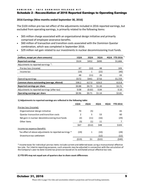# <span id="page-8-0"></span>Schedule 2 - Reconciliation of 2016 Reported Earnings to Operating Earnings

## **2016 Earnings (Nine months ended September 30, 2016)**

The \$103 million pre-tax net effect of the adjustments included in 2016 reported earnings, but excluded from operating earnings, is primarily related to the following items:

- \$65 million charge associated with an organizational design initiative and primarily comprised of employee severance benefits.
- \$60 million of transaction and transition costs associated with the Dominion Questar combination, which was completed in September 2016.
- \$29 million net gain related to our investments in nuclear decommissioning trust funds.

| (millions, except per share amounts)         | 1Q16   | <b>2Q16</b> | 3Q16   | YTD 2016 <sup>2</sup><br>4016 |
|----------------------------------------------|--------|-------------|--------|-------------------------------|
| <b>Reported earnings</b>                     | \$524  | \$452       | \$690  | \$1,666                       |
| Adjustments to reported earnings $1$ :       |        |             |        |                               |
| Pre-tax loss (income)                        | 67     | (12)        | 48     | 103                           |
| Income tax                                   | (19)   | 1           | (22)   | (40)                          |
|                                              | 48     | (11)        | 26     | 63                            |
| Operating earnings                           | \$572  | \$441       | \$716  | \$1,729                       |
| Common shares outstanding (average, diluted) | 598.2  | 617.0       | 626.0  | 613.8                         |
| Reported earnings per share                  | \$0.88 | \$0.73      | \$1.10 | \$2.71                        |
| Adjustments to reported earnings (after-tax) | 0.08   | (0.02)      | 0.04   | 0.10                          |
| Operating earnings per share                 | \$0.96 | 50.71       | \$1.14 | \$2.81                        |

## **1) Adjustments to reported earnings are reflected in the following table:**

| 27 Augustinents to reported carmings are renetted in the rollowing table. |       |                   |        |      |                 |  |
|---------------------------------------------------------------------------|-------|-------------------|--------|------|-----------------|--|
|                                                                           | 1Q16  | <b>2Q16</b>       | 3Q16   | 4Q16 | <b>YTD 2016</b> |  |
| Pre-tax loss (income):                                                    |       |                   |        |      |                 |  |
| Organizational design initiative                                          | 70    | (5)               |        |      | 65              |  |
| Questar transaction and transition costs                                  | 2     | 5                 | 53     |      | 60              |  |
| Net gain in nuclear decommissioning trust funds                           | (2)   | (11)              | (16)   |      | (29)            |  |
| Other items                                                               | (3)   | $\left( 1\right)$ | 11     |      |                 |  |
|                                                                           | \$67  | (512)             | \$48   |      | \$103           |  |
| Income tax expense (benefit):                                             |       |                   |        |      |                 |  |
| Tax effect of above adjustments to reported earnings *                    | (19)  | 1                 | (10)   |      | (28)            |  |
| Divestiture tax settlement                                                |       |                   | (12)   |      | (12)            |  |
|                                                                           | (519) | \$1               | (\$22) |      | (540)           |  |
|                                                                           |       |                   |        |      |                 |  |

\* Income taxes for individual pre-tax items include current and deferred taxes using a transactional effective tax rate. For interim reporting purposes, such amounts may be adjusted in connection with the calculation of the Company's year-to-date income tax provision based on its estimated annual effective tax rate.

## **2) YTD EPS may not equal sum of quarters due to share count differences**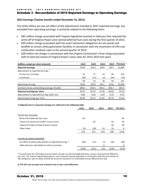# <span id="page-9-0"></span>Schedule 3 - Reconciliation of 2015 Reported Earnings to Operating Earnings

## **2015 Earnings (Twelve months ended December 31, 2015)**

The \$220 million pre-tax net effect of the adjustments included in 2015 reported earnings, but excluded from operating earnings, is primarily related to the following items:

- \$85 million charge associated with Virginia legislation enacted in February that required the write-off of Virginia Power prior-period deferred fuel costs during the first quarter of 2015.
- \$99 million charge associated with the asset retirement obligations for ash ponds and landfills at certain utility generation facilities in connection with the enactment of EPA coal combustion residuals rules in the second quarter of 2015.
- \$28 million net charge in connection with the Virginia Commission's final ruling associated with its biennial review of Virginia Power's base rates for 2013-2014 test years.

| (millions, except per share amounts)                                      | <b>1Q15</b> | <b>2Q15</b> | 3Q15           | 4Q15   | YTD 2015 <sup>2</sup> |
|---------------------------------------------------------------------------|-------------|-------------|----------------|--------|-----------------------|
| <b>Reported earnings</b>                                                  | \$536       | \$413       | \$593          | \$357  | \$1,899               |
| Adjustments to reported earnings $1$ :                                    |             |             |                |        |                       |
| Pre-tax loss (income)                                                     | 76          | 27          | 19             | 98     | 220                   |
| Income tax                                                                | (28)        | (11)        | (1)            | (39)   | (79)                  |
|                                                                           | 48          | 16          | 18             | 59     | 141                   |
| Operating earnings                                                        | \$584       | \$429       | \$611          | \$416  | \$2,040               |
| Common shares outstanding (average, diluted)                              | 589.9       | 592.5       | 595.5<br>596.7 |        | 593.7                 |
| Reported earnings per share                                               | \$0.91      | \$0.70      | \$1.00         | \$0.60 |                       |
| Adjustments to reported earnings (after-tax)                              | 0.08        | 0.03        | 0.03           | 0.10   |                       |
| Operating earnings per share                                              | \$0.99      | \$0.73      | \$1.03         | \$0.70 | \$3.44                |
|                                                                           |             |             |                |        |                       |
| 1) Adjustments to reported earnings are reflected in the following table: |             |             |                |        |                       |
|                                                                           | <b>1Q15</b> | <b>2Q15</b> | 3Q15           | 4Q15   | <b>YTD 2015</b>       |
| Pre-tax loss (income):                                                    |             |             |                |        |                       |
| Write-off of deferred fuel costs                                          | 85          |             |                |        | 85                    |
| Future ash pond and landfill closure costs                                |             | 45          |                | 54     | 99                    |
| Impact of Virginia Power biennial review                                  |             |             |                | 28     | 28                    |
| Other items                                                               | (9)         | (18)        | 19             | 16     | 8                     |
|                                                                           | \$76        | \$27        | \$19           | \$98   | \$220                 |

\* Income taxes for individual pre-tax items include current and deferred taxes using a transactional effective tax rate. For interim reporting purposes, such amounts may be adjusted in connection with the calculation of the Company's year-to-date income tax provision based on its estimated annual effective tax rate.

Tax effect of above adjustments to reported earnings \* (28) (11) (7) (39) (85) Deferred taxes refundable to utility customers and the control of the control of the control of the control of the control of the control of the control of the control of the control of the control of the control of the co

**2) YTD EPS may not equal sum of quarters due to share count differences**

Income tax expense (benefit):

(\$28) (\$11) (\$1) (\$39) (\$79)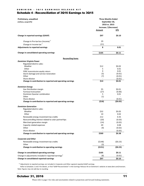## DOMINION - 3Q16 EARNINGS RELEASE KIT

# <span id="page-10-0"></span>Schedule 4 - Reconciliation of 3Q16 Earnings to 3Q15

| Preliminary, unaudited                                           | <b>Three Months Ended</b> |                  |
|------------------------------------------------------------------|---------------------------|------------------|
| (millions, except EPS)                                           | September 30,             |                  |
|                                                                  | 2016 vs. 2015             |                  |
|                                                                  | Increase / (Decrease)     |                  |
|                                                                  | Amount                    | EPS              |
|                                                                  |                           |                  |
| Change in reported earnings (GAAP)                               | \$97                      | \$0.10           |
| Change in Pre-tax loss (income) <sup>1</sup>                     | 29                        |                  |
| Change in Income tax <sup>1</sup>                                | (21)                      |                  |
| Adjustments to reported earnings                                 | 8                         | 0.01             |
| Change in consolidated operating earnings                        | \$105                     | \$0.11           |
|                                                                  |                           |                  |
| <b>Reconciling Items</b><br><b>Dominion Virginia Power</b>       |                           |                  |
| Regulated electric sales:                                        |                           |                  |
| Weather                                                          | \$12                      | \$0.02           |
| Other                                                            | 5                         | 0.01             |
| FERC transmission equity return                                  | 9                         | 0.01             |
| Storm damage and service restoration                             | (5)                       | (0.01)           |
| Other                                                            | (7)                       | (0.01)           |
| Share dilution                                                   |                           | (0.01)           |
| Change in contribution to reported and operating earnings        | \$14                      | \$0.01           |
|                                                                  |                           |                  |
| <b>Dominion Energy</b>                                           |                           |                  |
| Gas Distribution margin<br>Farmout transaction                   | \$5<br>(27)               | \$0.01<br>(0.06) |
| Dominion Questar combination                                     | 5                         | 0.01             |
| Other                                                            | (1)                       |                  |
| Share dilution                                                   |                           | (0.01)           |
| Change in contribution to reported and operating earnings        | (518)                     | (50.05)          |
| <b>Dominion Generation</b>                                       |                           |                  |
| Regulated electric sales:                                        |                           |                  |
| Weather                                                          | \$32                      | \$0.05           |
| Other                                                            | 10                        | 0.02             |
| Renewable energy investment tax credits                          | 212                       | 0.35             |
| Noncontrolling interest related to solar partnerhips             | (20)                      | (0.03)           |
|                                                                  |                           |                  |
| Merchant generation margin                                       | (14)                      | (0.02)           |
| Capacity related expenses                                        | 49                        | 0.08             |
| Other                                                            | (9)                       | (0.02)           |
| Share dilution                                                   |                           | (0.05)           |
| Change in contribution to reported and operating earnings        | \$260                     | \$0.38           |
| <b>Corporate and Other</b>                                       |                           |                  |
| Renewable energy investment tax credits                          | (5148)                    | (50.23)          |
| Other                                                            | (3)                       |                  |
| Change in contribution to operating earnings                     | (\$151)                   | (50.23)          |
|                                                                  |                           |                  |
| Change in consolidated operating earnings                        | \$105                     | \$0.11           |
| Change in adjustments included in reported earnings <sup>1</sup> | (8)                       | (0.01)           |
| Change in consolidated reported earnings                         | \$97                      | \$0.10           |

 $1)$  Adjustments to reported earnings are included in Corporate and Other segment reported GAAP earnings.

Refer to Schedules 2 and 3 for details, or find "GAAP Reconciliation" in the Earnings Release Kit on Dominion's website at www.dom.com/investors. Note: Figures may not add due to rounding.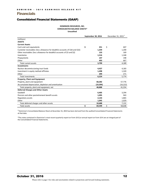# <span id="page-11-0"></span>**Financials**

# <span id="page-11-1"></span>Consolidated Financial Statements (GAAP)

## **DOMINION RESOURCES, INC. CONSOLIDATED BALANCE SHEETS\* Unaudited**

|                                                                              | September 30, 2016 |           | December 31, 2015 <sup>1</sup> |
|------------------------------------------------------------------------------|--------------------|-----------|--------------------------------|
| (millions)                                                                   |                    |           |                                |
| <b>ASSETS</b>                                                                |                    |           |                                |
| <b>Current Assets</b>                                                        |                    |           |                                |
| Cash and cash equivalents                                                    | \$                 | 251       | \$<br>607                      |
| Customer receivables (less allowance for doubtful accounts of \$18 and \$32) |                    | 1,259     | 1,200                          |
| Other receivables (less allowance for doubtful accounts of \$3 and \$2)      |                    | 133       | 169                            |
| Inventories                                                                  |                    | 1,516     | 1,348                          |
| Prepayments                                                                  |                    | 147       | 198                            |
| Other                                                                        |                    | 493       | 667                            |
| <b>Total current assets</b>                                                  |                    | 3,799     | 4,189                          |
| <b>Investments</b>                                                           |                    |           |                                |
| Nuclear decommissioning trust funds                                          |                    | 4,427     | 4,183                          |
| Investment in equity method affiliates                                       |                    | 1,498     | 1,320                          |
| Other                                                                        |                    | 299       | 271                            |
| Total investments                                                            |                    | 6,224     | 5,774                          |
| <b>Property, Plant and Equipment</b>                                         |                    |           |                                |
| Property, plant and equipment                                                |                    | 68,282    | 57,776                         |
| Accumulated depreciation, depletion and amortization                         |                    | (19, 394) | (16, 222)                      |
| Total property, plant and equipment, net                                     |                    | 48,888    | 41,554                         |
| <b>Deferred Charges and Other Assets</b>                                     |                    |           |                                |
| Goodwill                                                                     |                    | 6,405     | 3,294                          |
| Pension and other postretirement benefit assets                              |                    | 1,095     | 943                            |
| Regulatory assets                                                            |                    | 2,143     | 1,865                          |
| Other                                                                        |                    | 1,045     | 1,029                          |
| Total deferred charges and other assets                                      |                    | 10,688    | 7,131                          |
| <b>Total assets</b>                                                          | \$                 | 69,599    | \$<br>58,648                   |

<sup>1)</sup> Dominion's Consolidated Balance Sheet at December 31, 2015 has been derived from the audited Consolidated Financial Statements at that date.

\*The notes contained in Dominion's most recent quarterly report on Form 10-Q or annual report on Form 10-K are an integral part of the Consolidated Financial Statements.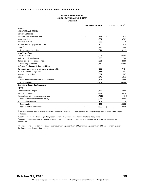## **DOMINION RESOURCES, INC. CONSOLIDATED BALANCE SHEETS\* Unaudited**

|                                                  | September 30, 2016 | December 31, 2015 <sup>1</sup> |    |        |
|--------------------------------------------------|--------------------|--------------------------------|----|--------|
| (millions)                                       |                    |                                |    |        |
| <b>LIABILITIES AND EQUITY</b>                    |                    |                                |    |        |
| <b>Current Liabilities</b>                       |                    |                                |    |        |
| Securities due within one year                   | \$                 | 3,278                          | \$ | 1,825  |
| Short-term debt                                  |                    | 3,097                          |    | 3,509  |
| Accounts payable                                 |                    | 685                            |    | 726    |
| Accrued interest, payroll and taxes              |                    | 800                            |    | 515    |
| $O$ ther <sup>2</sup>                            |                    | 1,514                          |    | 1,544  |
| <b>Total current liabilities</b>                 |                    | 9,374                          |    | 8,119  |
| Long-Term Debt                                   |                    |                                |    |        |
| Long-term debt                                   |                    | 23,009                         |    | 20,048 |
| Junior subordinated notes                        |                    | 2,980                          |    | 1,340  |
| Remarketable subordinated notes                  |                    | 2,371                          |    | 2,080  |
| Total long-term debt                             |                    | 28,360                         |    | 23,468 |
| <b>Deferred Credits and Other Liabilities</b>    |                    |                                |    |        |
| Deferred income taxes and investment tax credits |                    | 8,675                          |    | 7,414  |
| Asset retirement obligations                     |                    | 2,153                          |    | 1,887  |
| <b>Regulatory liabilities</b>                    |                    | 2,597                          |    | 2,285  |
| Other                                            |                    | 2,248                          |    | 1,873  |
| Total deferred credits and other liabilities     |                    | 15,673                         |    | 13,459 |
| <b>Total liabilities</b>                         |                    | 53,407                         |    | 45,046 |
| <b>Commitments and Contingencies</b>             |                    |                                |    |        |
| Equity                                           |                    |                                |    |        |
| Common stock – no par $3$                        |                    | 8,592                          |    | 6,680  |
| Retained earnings                                |                    | 6,837                          |    | 6,458  |
| Accumulated other comprehensive loss             |                    | (471)                          |    | (474)  |
| Total common shareholders' equity                |                    | 14,958                         |    | 12,664 |
| Noncontrolling interests                         |                    | 1,234                          |    | 938    |
| Total equity                                     |                    | 16,192                         |    | 13,602 |
| Total liabilities and equity                     | \$                 | 69,599                         | \$ | 58,648 |

 $1)$  Dominion's Consolidated Balance Sheet at December 31, 2015 has been derived from the audited Consolidated Financial Statements at that date.

<sup>2)</sup> See Note 3 in the most recent quarterly report on Form 10-Q for amounts attributable to related parties.

<sup>3)</sup> 1 billion shares authorized; 627 million shares and 596 million shares outstanding at September 30, 2016 and December 31, 2015, respectively.

\*The notes contained in Dominion's most recent quarterly report on Form 10-Q or annual report on Form 10-K are an integral part of the Consolidated Financial Statements.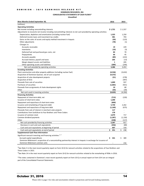#### DOMINION - 3Q16 EARNINGS RELEASE KIT

#### **DOMINION RESOURCES, INC.**

## **CONSOLIDATED STATEMENTS OF CASH FLOWS\***

**Unaudited**

| Nine Months Ended September 30,                                                                                      | 2016      | 2015      |
|----------------------------------------------------------------------------------------------------------------------|-----------|-----------|
| (millions)                                                                                                           |           |           |
| <b>Operating Activities</b>                                                                                          |           |           |
| Net income including noncontrolling interests                                                                        | \$1,721   | \$1,557   |
| Adjustments to reconcile net income including noncontrolling interests to net cash provided by operating activities: |           |           |
| Depreciation, depletion and amortization (including nuclear fuel)                                                    | 1,325     | 1,250     |
| Deferred income taxes and investment tax credits                                                                     | 481       | 703       |
| Gains on the sales of assets and equity method investment in Iroquois                                                | (50)      | (123)     |
| Other adjustments                                                                                                    | (78)      | (1)       |
| Changes in:                                                                                                          |           |           |
| Accounts receivable                                                                                                  | 19        | 229       |
| Inventories                                                                                                          | (10)      | (3)       |
| Deferred fuel and purchased gas costs, net                                                                           | 84        | 70        |
| Prepayments                                                                                                          | 66        | 45        |
| Accounts payable                                                                                                     | (89)      | (222)     |
| Accrued interest, payroll and taxes                                                                                  | 205       | (13)      |
| Margin deposit assets and liabilities                                                                                | 1         | 205       |
| Other operating assets and liabilities                                                                               | (289)     | (244)     |
| Net cash provided by operating activities                                                                            | 3,386     | 3,453     |
| <b>Investing Activities</b>                                                                                          |           |           |
| Plant construction and other property additions (including nuclear fuel)                                             | (4,536)   | (3,632)   |
| Acquisition of Dominion Questar, net of cash acquired                                                                | (4, 372)  |           |
| Acquisition of solar development projects                                                                            | (21)      | (278)     |
| Acquisition of DCG                                                                                                   |           | (497)     |
| Proceeds from sale of securities                                                                                     | 1,009     | 937       |
| Purchases of securities                                                                                              | (1,065)   | (921)     |
| Proceeds from assignments of shale development rights                                                                | 10        | 80        |
| Other                                                                                                                | (54)      | (39)      |
| Net cash used in investing activities                                                                                | (9,029)   | (4,350)   |
| <b>Financing Activities</b>                                                                                          |           |           |
| Repayment of short-term debt, net                                                                                    | (713)     | (220)     |
| Issuance of short-term notes                                                                                         | 1,200     |           |
| Repayment and repurchase of short-term notes                                                                         | (600)     |           |
| Issuance and remarketing of long-term debt                                                                           | 5,730     | 2,262     |
| Repayment and repurchase of long-term debt                                                                           | (1, 169)  | (675)     |
| Proceeds from sale of interest in merchant solar projects                                                            | 117       |           |
| Contributions from SunEdison to Four Brothers and Three Cedars                                                       | 178       |           |
| Issuance of common stock                                                                                             | 2,079     | 717       |
| Common dividend payments                                                                                             | (1, 287)  | (1, 150)  |
| Other                                                                                                                | (248)     | (117)     |
| Net cash provided by financing activities                                                                            | 5,287     | 817       |
| Decrease in cash and cash equivalents                                                                                | (356)     | (80)      |
| Cash and cash equivalents at beginning of period                                                                     | 607       | 318       |
| Cash and cash equivalents at end of period                                                                           | \$<br>251 | \$<br>238 |
| <b>Supplemental Cash Flow Information</b>                                                                            |           |           |
| Significant noncash investing and financing activities: <sup>1,2</sup>                                               |           |           |
| Accrued capital expenditures                                                                                         | \$<br>341 | \$<br>389 |
| Dominion Midstream's acquisition of a noncontrolling partnership interest in Iroquois in exchange for issuance of    |           |           |
| Dominion Midstream common units                                                                                      |           | 216       |

 $1$ See Note 3 in the most recent quarterly report on Form 10-Q for noncash activities related to the acquisitions of Four Brothers and Three Cedars in 2015.

 $2$ See Note 14 in the most recent quarterly report on Form 10-Q for noncash activities related to the remarketing of RSNs in 2016.

\*The notes contained in Dominion's most recent quarterly report on Form 10-Q or annual report on Form 10-K are an integral part of the Consolidated Financial Statements.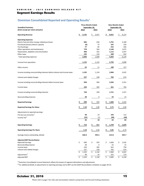## <span id="page-14-0"></span>Segment Earnings Results

# **Dominion Consolidated Reported and Operating Results<sup>1</sup>**

|                                                                            |                   | <b>Three Months Ended</b> | <b>Nine Months Ended</b> |             |  |  |  |  |
|----------------------------------------------------------------------------|-------------------|---------------------------|--------------------------|-------------|--|--|--|--|
| <b>Unaudited Summary</b>                                                   |                   | September 30,             | September 30,            |             |  |  |  |  |
| (\$mm except per share amounts)                                            | 2016              | 2015                      | 2016                     | 2015        |  |  |  |  |
| <b>Operating Revenue</b>                                                   | \$<br>3,132       | 2,971<br>\$.              | 8,651<br>\$              | 9,127<br>\$ |  |  |  |  |
| <b>Operating Expenses</b>                                                  |                   |                           |                          |             |  |  |  |  |
| Electric fuel and other energy-related purchases                           | 606               | 636                       | 1,791                    | 2,180       |  |  |  |  |
| Purchased (excess) electric capacity                                       | (6)               | 75                        | 107                      | 259         |  |  |  |  |
| Purchased gas                                                              | 77                | 85                        | 252                      | 446         |  |  |  |  |
| Other operations and maintenance                                           | 778               | 564                       | 2,146                    | 1,875       |  |  |  |  |
| Depreciation, depletion and amortization                                   | 400               | 355                       | 1,112                    | 1,037       |  |  |  |  |
| Other taxes                                                                | 145               | 133                       | 448                      | 432         |  |  |  |  |
| Total operating expenses                                                   | 2,000             | 1,848                     | 5,856                    | 6,229       |  |  |  |  |
| Income from operations                                                     | 1,132             | 1,123                     | 2,795                    | 2,898       |  |  |  |  |
| Other income                                                               | 63                | 11                        | 189                      | 127         |  |  |  |  |
| Income including noncontrolling interests before interest and income taxes | 1,195             | 1,134                     | 2,984                    | 3,025       |  |  |  |  |
| Interest and related charges                                               | 237               | 230                       | 702                      | 674         |  |  |  |  |
| Income including noncontrolling interests before income taxes              | 958               | 904                       | 2,282                    | 2,351       |  |  |  |  |
| Income taxes                                                               | 230               | 305                       | 561                      | 794         |  |  |  |  |
| Income including noncontrolling interests                                  | 728               | 599                       | 1,721                    | 1,557       |  |  |  |  |
| Noncontrolling interests                                                   | 38                | 6                         | 55                       | 15          |  |  |  |  |
| <b>Reported Earnings</b>                                                   | \$<br>690         | \$<br>593                 | 1,666                    | 1,542<br>\$ |  |  |  |  |
| <b>Reported Earnings Per Share</b>                                         | <u>\$</u><br>1.10 | \$<br>1.00                | \$<br>2.71               | 2.60        |  |  |  |  |
| Adjustments to reported earnings:                                          |                   |                           |                          |             |  |  |  |  |
| Pre-tax Loss (Income) <sup>2</sup>                                         | 48                | 19                        | 103                      | 122         |  |  |  |  |
| Income Tax <sup>2</sup>                                                    | (22)              | (1)                       | (40)                     | (40)        |  |  |  |  |
|                                                                            | 26                | 18                        | 63                       | 82          |  |  |  |  |
| <b>Operating Earnings</b>                                                  | \$<br>716         | \$<br>611                 | 1,729                    | 1,624<br>\$ |  |  |  |  |
| <b>Operating Earnings Per Share</b>                                        | 1.14              | \$<br>1.03                | \$<br>2.81               | \$<br>2.74  |  |  |  |  |
| Average shares outstanding, diluted                                        | 626.0             | 595.5                     | 613.8                    | 592.7       |  |  |  |  |
| <b>Adjusted EBIT Reconciliation</b>                                        |                   |                           |                          |             |  |  |  |  |
| <b>Reported Earnings</b>                                                   | \$<br>690         | \$<br>593                 | \$<br>1,666              | \$<br>1,542 |  |  |  |  |
| Noncontrolling interest                                                    | 38                | 6                         | 55                       | 15          |  |  |  |  |
| Income taxes                                                               | 230               | 305                       | 561                      | 794         |  |  |  |  |
| Interest and related charges                                               | 237               | 230                       | 702                      | 674         |  |  |  |  |
|                                                                            | 1,195<br>Ś        | \$<br>1,134               | 2,984<br>\$              | \$<br>3,025 |  |  |  |  |
| Adjustments <sup>2</sup>                                                   | 48                | 16                        | 101                      | 119         |  |  |  |  |
| Adjusted EBIT                                                              | 1,243<br>Ś        | 1,150<br>\$               | 3,085<br>\$              | \$<br>3,144 |  |  |  |  |

 $1)$  Dominion Consolidated Income Statement reflects the impact of segment eliminations and adjustments.

 $^{2)}$  For additional details on adjustments to reporting earnings and to EBIT see the GAAP Reconciliation schedules on pages 30-35.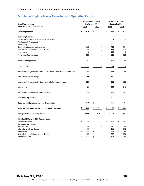# **Dominion Virginia Power Reported and Operating Results**

|                                                                            | <b>Three Months Ended</b> |    | <b>Nine Months Ended</b> |           |               |      |       |  |
|----------------------------------------------------------------------------|---------------------------|----|--------------------------|-----------|---------------|------|-------|--|
| <b>Unaudited Summary</b>                                                   | September 30,             |    |                          |           | September 30, |      |       |  |
| (\$mm except per share amounts)                                            | 2016                      |    | 2015                     | 2016      |               | 2015 |       |  |
| <b>Operating Revenue</b>                                                   | \$<br>620                 | \$ | 543                      | \$        | 1,699         | \$   | 1,617 |  |
| <b>Operating Expenses</b>                                                  |                           |    |                          |           |               |      |       |  |
| Electric fuel and other energy-related purchases                           | $\mathbf{1}$              |    | $\mathbf 1$              |           | 3             |      | 3     |  |
| Purchased electric capacity                                                |                           |    |                          |           |               |      |       |  |
| Purchased gas                                                              |                           |    |                          |           |               |      |       |  |
| Other operations and maintenance                                           | 163                       |    | 127                      |           | 430           |      | 374   |  |
| Depreciation, depletion and amortization                                   | 135                       |    | 126                      |           | 398           |      | 370   |  |
| Other taxes                                                                | 40                        |    | 37                       |           | 119           |      | 112   |  |
| Total operating expenses                                                   | 339                       |    | 291                      |           | 950           |      | 859   |  |
| Income from operations                                                     | 281                       |    | 252                      |           | 749           |      | 758   |  |
| Other income                                                               | 7                         |    | 10                       |           | 24            |      | 36    |  |
| Income including noncontrolling interests before interest and income taxes | 288                       |    | 262                      |           | 773           |      | 794   |  |
| Interest and related charges                                               | 60                        |    | 58                       |           | 180           |      | 172   |  |
| Income including noncontrolling interests before income taxes              | 228                       |    | 204                      |           | 593           |      | 622   |  |
| Income taxes                                                               | 89                        |    | 79                       |           | 230           |      | 240   |  |
| Income including noncontrolling interests                                  | 139                       |    | 125                      |           | 363           |      | 382   |  |
| Noncontrolling interests                                                   |                           |    |                          |           |               |      |       |  |
| <b>Reported and Operating Earnings Contribution</b>                        | \$<br>139                 | \$ | 125                      | \$        | 363           | \$   | 382   |  |
| Reported and Operating Earnings Per Share Contribution                     | 0.22                      | \$ | 0.21                     | <u>\$</u> | 0.59          | \$   | 0.64  |  |
| Average shares outstanding, diluted                                        | 626.0                     |    | 595.5                    |           | 613.8         |      | 592.7 |  |
| <b>Adjusted EBIT and EBITDA Reconciliation</b>                             |                           |    |                          |           |               |      |       |  |
| <b>Reported Earnings</b>                                                   | \$<br>139                 | \$ | 125                      | \$        | 363           | \$   | 382   |  |
| Noncontrolling interest                                                    |                           |    |                          |           |               |      |       |  |
| Income taxes                                                               | 89                        |    | 79                       |           | 230           |      | 240   |  |
| Interest and related charges                                               | 60                        |    | 58                       |           | 180           |      | 172   |  |
| <b>Adjusted EBIT</b>                                                       | \$<br>288                 | \$ | 262                      | \$        | 773           | \$   | 794   |  |
| Depreciation, depletion and amortization                                   | 135                       |    | 126                      |           | 398           |      | 370   |  |
| <b>Adjusted EBITDA</b>                                                     | \$<br>423                 | \$ | 388                      | \$        | 1,171         | \$   | 1,164 |  |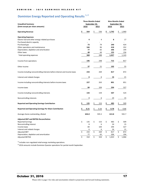# **Dominion Energy Reported and Operating Results 1, 2**

|                                                                            | <b>Three Months Ended</b> |                  |                         |       |    | <b>Nine Months Ended</b> |    |       |  |  |  |  |
|----------------------------------------------------------------------------|---------------------------|------------------|-------------------------|-------|----|--------------------------|----|-------|--|--|--|--|
| <b>Unaudited Summary</b>                                                   | September 30,             |                  |                         |       |    | September 30,            |    |       |  |  |  |  |
| (\$mm except per share amounts)                                            |                           | <b>2016</b>      | <u>2015</u>             |       |    | 2016                     |    | 2015  |  |  |  |  |
| <b>Operating Revenue</b>                                                   | \$                        | 564              | \$                      | 536   | \$ | 1,742                    | \$ | 1,960 |  |  |  |  |
| <b>Operating Expenses</b>                                                  |                           |                  |                         |       |    |                          |    |       |  |  |  |  |
| Electric fuel and other energy-related purchases                           |                           | 4                |                         | 4     |    | 8                        |    | 17    |  |  |  |  |
| Purchased electric capacity                                                |                           |                  |                         |       |    |                          |    |       |  |  |  |  |
| Purchased gas                                                              |                           | 73               |                         | 79    |    | 240                      |    | 424   |  |  |  |  |
| Other operations and maintenance                                           |                           | 166              |                         | 96    |    | 418                      |    | 352   |  |  |  |  |
| Depreciation, depletion and amortization                                   |                           | 77               |                         | 65    |    | 206                      |    | 194   |  |  |  |  |
| Other taxes                                                                |                           | 48               |                         | 44    |    | 155                      |    | 156   |  |  |  |  |
| Total operating expenses                                                   |                           | 368              |                         | 288   |    | 1,027                    |    | 1,143 |  |  |  |  |
| Income from operations                                                     |                           | 196              |                         | 248   |    | 715                      |    | 817   |  |  |  |  |
| Other income                                                               |                           | 37               |                         | 21    |    | 102                      |    | 55    |  |  |  |  |
| Income including noncontrolling interests before interest and income taxes |                           | 233              |                         | 269   |    | 817                      |    | 872   |  |  |  |  |
| Interest and related charges                                               |                           | 6                |                         | 6     |    | 16                       |    | 21    |  |  |  |  |
| Income including noncontrolling interests before income taxes              |                           | 227              |                         | 263   |    | 801                      |    | 851   |  |  |  |  |
| Income taxes                                                               |                           | 84               |                         | 104   |    | 294                      |    | 327   |  |  |  |  |
| Income including noncontrolling interests                                  |                           | 143              |                         | 159   |    | 507                      |    | 524   |  |  |  |  |
| Noncontrolling interests                                                   |                           | 8                |                         | 6     |    | 24                       |    | 15    |  |  |  |  |
| <b>Reported and Operating Earnings Contribution</b>                        | \$                        | 135              | \$                      | 153   | \$ | 483                      | \$ | 509   |  |  |  |  |
| <b>Reported and Operating Earnings Per Share Contribution</b>              | \$                        | 0.21             | Ś                       | 0.26  | \$ | 0.78                     |    | 0.86  |  |  |  |  |
| Average shares outstanding, diluted                                        |                           | 626.0            |                         | 595.5 |    | 613.8                    |    | 592.7 |  |  |  |  |
| <b>Adjusted EBIT and EBITDA Reconciliation</b>                             |                           |                  |                         |       |    |                          |    |       |  |  |  |  |
| <b>Reported Earnings</b>                                                   | \$                        | 135              | \$                      | 153   | \$ | 483                      | \$ | 509   |  |  |  |  |
| Noncontrolling interest                                                    |                           | 8                |                         | 6     |    | 24                       |    | 15    |  |  |  |  |
| Income taxes                                                               |                           | 84               |                         | 104   |    | 294                      |    | 327   |  |  |  |  |
| Interest and related charges                                               |                           | 6                |                         | 6     |    | 16                       |    | 21    |  |  |  |  |
| <b>Adjusted EBIT</b>                                                       | \$                        | $\overline{233}$ | $\overline{\mathsf{S}}$ | 269   | \$ | 817                      | \$ | 872   |  |  |  |  |
| Depreciation, depletion and amortization                                   |                           | 77               |                         | 65    |    | 206                      |    | 194   |  |  |  |  |
| <b>Adjusted EBITDA</b>                                                     | $\overline{\mathsf{S}}$   | 310              | $\overline{\mathsf{S}}$ | 334   | \$ | 1,023                    | \$ | 1,066 |  |  |  |  |

<sup>1)</sup> Includes non-regulated retail energy marketing operations.

<sup>2)</sup> 2016 amounts include Dominion Questar operations for partial month September.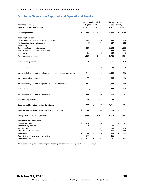# **Dominion Generation Reported and Operational Results<sup>1</sup>**

|                                                                            | <b>Three Months Ended</b> |                  |                          | <b>Nine Months Ended</b> |       |    |                          |  |  |
|----------------------------------------------------------------------------|---------------------------|------------------|--------------------------|--------------------------|-------|----|--------------------------|--|--|
| <b>Unaudited Summary</b>                                                   | September 30,             |                  |                          | September 30,            |       |    |                          |  |  |
| (\$mm except per share amounts)                                            | 2016                      |                  | 2015                     |                          | 2016  |    | 2015                     |  |  |
| <b>Operating Revenue</b>                                                   | \$<br>1,949               | \$               | 1,894                    | \$                       | 5,211 | \$ | 5,544                    |  |  |
| <b>Operating Expenses</b>                                                  |                           |                  |                          |                          |       |    |                          |  |  |
| Electric fuel and other energy-related purchases                           | 598                       |                  | 630                      |                          | 1,771 |    | 2,054                    |  |  |
| Purchased (excess) electric capacity                                       | (6)                       |                  | 75                       |                          | 107   |    | 259                      |  |  |
| Purchased gas                                                              |                           |                  |                          |                          |       |    |                          |  |  |
| Other operations and maintenance                                           | 390                       |                  | 354                      |                          | 1,192 |    | 1,135                    |  |  |
| Depreciation, depletion and amortization                                   | 177                       |                  | 154                      |                          | 488   |    | 444                      |  |  |
| Other taxes                                                                | 51                        |                  | 46                       |                          | 148   |    | 142                      |  |  |
| Total operating expenses                                                   | 1,210                     |                  | 1,259                    |                          | 3,706 |    | 4,034                    |  |  |
| Income from operations                                                     | 739                       |                  | 635                      |                          | 1,505 |    | 1,510                    |  |  |
| Other income                                                               | 5                         |                  | $\overline{5}$           |                          | 47    |    | 28                       |  |  |
| Income including noncontrolling interests before interest and income taxes | 744                       |                  | 640                      |                          | 1,552 |    | 1,538                    |  |  |
| Interest and related charges                                               | 77                        |                  | 69                       |                          | 214   |    | 198                      |  |  |
| Income including noncontrolling interests before income taxes              | 667                       |                  | 571                      |                          | 1,338 |    | 1,340                    |  |  |
| Income taxes                                                               | (13)                      |                  | 181                      |                          | 241   |    | 438                      |  |  |
| Income including noncontrolling interests                                  | 680                       |                  | 390                      |                          | 1,097 |    | 902                      |  |  |
| Noncontrolling interests                                                   | 30                        |                  | $\overline{\phantom{a}}$ |                          | 31    |    | $\overline{\phantom{a}}$ |  |  |
| <b>Reported and Operating Earnings Contribution</b>                        | \$<br>650                 | \$               | 390                      | \$                       | 1,066 | \$ | 902                      |  |  |
| <b>Reported and Operating Earnings Per Share Contribution</b>              | \$<br>1.04                | \$               | 0.66                     | \$                       | 1.74  | \$ | 1.52                     |  |  |
| Average shares outstanding, diluted                                        | 626.0                     |                  | 595.5                    |                          | 613.8 |    | 592.7                    |  |  |
| <b>Adjusted EBIT Reconciliation</b>                                        |                           |                  |                          |                          |       |    |                          |  |  |
| <b>Reported Earnings</b>                                                   | \$<br>650                 | \$               | 390                      | \$                       | 1,066 | \$ | 902                      |  |  |
| Noncontrolling interest                                                    | 30                        |                  |                          |                          | 31    |    |                          |  |  |
| Income taxes                                                               | (13)                      |                  | 181                      |                          | 241   |    | 438                      |  |  |
| Interest and related charges                                               | 77                        |                  | 69                       |                          | 214   |    | 198                      |  |  |
| <b>Adjusted EBIT</b>                                                       | \$<br>744                 | $\overline{\xi}$ | 640                      | \$                       | 1,552 | \$ | 1,538                    |  |  |
| Depreciation, depletion and amortization                                   | 177                       |                  | 154                      |                          | 488   |    | 444                      |  |  |
| <b>Adjusted EBITDA</b>                                                     | \$<br>921                 | \$               | 794                      | \$                       | 2,040 | \$ | 1,982                    |  |  |

4 1 1 1 1 1 5 6 Pallusted EBITDA<br><sup>1)</sup> Excludes non-regulated retail energy marketing operations, which are reported in Dominion Energy.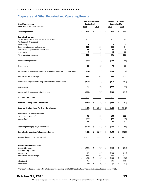# **Corporate and Other Reported and Operating Results**

| <b>Unaudited Summary</b>                                                     | <b>Three Months Ended</b><br>September 30, |                 | <b>Nine Months Ended</b><br>September 30, |              |    |              |  |  |
|------------------------------------------------------------------------------|--------------------------------------------|-----------------|-------------------------------------------|--------------|----|--------------|--|--|
| (\$mm except per share amounts)                                              | 2016                                       | 2015            |                                           | 2016         |    | 2015         |  |  |
| <b>Operating Revenue</b>                                                     | \$<br>146                                  | \$<br>128       | \$                                        | 477          | \$ | 405          |  |  |
| <b>Operating Expenses</b>                                                    |                                            |                 |                                           |              |    |              |  |  |
| Electric fuel and other energy-related purchases                             |                                            |                 |                                           |              |    | 85           |  |  |
| Purchased electric capacity                                                  |                                            |                 |                                           |              |    |              |  |  |
| Purchased gas                                                                | $\mathbf{1}$                               | 2<br>123        |                                           | 2            |    | 3            |  |  |
| Other operations and maintenance<br>Depreciation, depletion and amortization | 212<br>11                                  | 10              |                                           | 603<br>20    |    | 454<br>29    |  |  |
| Other taxes                                                                  | 6                                          | 6               |                                           | 26           |    | 22           |  |  |
| Total operating expenses                                                     | 230                                        | 141             |                                           | 651          |    | 593          |  |  |
| Income from operations                                                       | (84)                                       | (13)            |                                           | (174)        |    | (188)        |  |  |
| Other income                                                                 | 33                                         | (12)            |                                           | 70           |    | 38           |  |  |
| Income including noncontrolling interests before interest and income taxes   | (51)                                       | (25)            |                                           | (104)        |    | (150)        |  |  |
| Interest and related charges                                                 | 113                                        | 109             |                                           | 346          |    | 312          |  |  |
| Income including noncontrolling interests before income taxes                | (164)                                      | (134)           |                                           | (450)        |    | (462)        |  |  |
| Income taxes                                                                 | 70                                         | (59)            |                                           | (204)        |    | (211)        |  |  |
| Income including noncontrolling interests                                    | (234)                                      | (75)            |                                           | (246)        |    | (251)        |  |  |
| Noncontrolling interests                                                     |                                            |                 |                                           |              |    |              |  |  |
| <b>Reported Earnings (Loss) Contribution</b>                                 | \$<br>(234)                                | \$<br>(75)      | \$                                        | (246)        |    | (251)        |  |  |
| Reported Earnings (Loss) Per Share Contribution                              | \$<br>(0.37)                               | \$<br>(0.13)    | \$                                        | (0.40)       | \$ | (0.42)       |  |  |
| Adjustments to reported earnings:                                            |                                            |                 |                                           |              |    |              |  |  |
| Pre-tax Loss (Income) <sup>1</sup>                                           | 48                                         | 19              |                                           | 103          |    | 122          |  |  |
| Income Tax <sup>1</sup>                                                      | (22)                                       | (1)             |                                           | (40)         |    | (40)         |  |  |
|                                                                              | 26                                         | 18              |                                           | 63           |    | 82           |  |  |
| <b>Operating Earnings (Loss) Contribution</b>                                | \$<br>(208)                                | \$<br>(57)      | \$                                        | (183)        | \$ | (169)        |  |  |
| <b>Operating Earnings (Loss) Share Contribution</b>                          | (0.33)                                     | \$<br>(0.10)    | \$                                        | (0.30)       | \$ | (0.28)       |  |  |
| Average shares outstanding, diluted                                          | 626.0                                      | 595.5           |                                           | 613.8        |    | 592.7        |  |  |
| <b>Adjusted EBIT Reconciliation</b>                                          |                                            |                 |                                           |              |    |              |  |  |
| <b>Reported Earnings</b>                                                     | \$<br>(234)                                | \$<br>(75)      | \$                                        | (246)        | \$ | (251)        |  |  |
| Noncontrolling interest                                                      |                                            |                 |                                           |              |    |              |  |  |
| Income taxes                                                                 | 70                                         | (59)            |                                           | (204)        |    | (211)        |  |  |
| Interest and related charges                                                 | 113                                        | 109             |                                           | 346          |    | 312          |  |  |
| Adjustments <sup>1</sup>                                                     | \$<br>(51)<br>48                           | \$<br>(25)<br>5 | \$                                        | (104)<br>101 | \$ | (150)<br>119 |  |  |
| <b>Adjusted EBIT</b>                                                         | \$<br>(3)                                  | \$<br>(20)      | \$                                        | (3)          | \$ | (31)         |  |  |

<sup>1)</sup> For additional details on adjustments to reporting earnings and to EBIT see the GAAP Reconciliation schedules on pages 30-35.

# October 31, 2016

Please refer to page 3 for risks and uncertainties related to projections and forward-looking statements.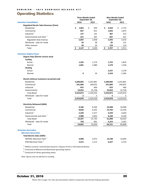# <span id="page-19-0"></span>Operating Statistics

|                                                    |             | <b>Three Months Ended</b><br>September 30, | <b>Nine Months Ended</b><br>September 30, |             |  |  |
|----------------------------------------------------|-------------|--------------------------------------------|-------------------------------------------|-------------|--|--|
| <b>Dominion Consolidated</b>                       | 2016        | 2015                                       | 2016                                      | 2015        |  |  |
| Regulated Electric Sales Revenue (\$mm)            |             |                                            |                                           |             |  |  |
| Residential                                        | \$<br>1,063 | \$<br>959                                  | \$<br>2,656                               | \$<br>2,753 |  |  |
| Commercial                                         | 667         | 651                                        | 1,843                                     | 1,873       |  |  |
| Industrial <sup>1</sup>                            | 137         | 141                                        | 387                                       | 413         |  |  |
| Governmental and other <sup>1</sup>                | 221         | 207                                        | 607                                       | 637         |  |  |
| Regulated retail revenue                           | 2,087       | 1,958                                      | 5,493                                     | 5,676       |  |  |
| Wholesale - sales for resale                       | 29          | 38                                         | 85                                        | 121         |  |  |
| Other revenue                                      | 30          | 24                                         | 129                                       | 114         |  |  |
| Total                                              | 2,147<br>\$ | \$<br>2,020                                | \$<br>5,707                               | \$<br>5,911 |  |  |
| <b>Dominion Virginia Power</b>                     |             |                                            |                                           |             |  |  |
| Degree Days (Electric service area)                |             |                                            |                                           |             |  |  |
| Cooling                                            |             |                                            |                                           |             |  |  |
| Actual                                             | 1,326       | 1,174                                      | 1,755                                     | 1,819       |  |  |
| Normal                                             | 1,081       | 1,080                                      | 1,570                                     | 1,558       |  |  |
| <b>Heating</b>                                     |             |                                            |                                           |             |  |  |
| Actual                                             |             |                                            | 2,247                                     | 2,578       |  |  |
| Normal                                             | 9           | 10                                         | 2,334                                     | 2,296       |  |  |
| <b>Electric Delivery Customers (at period end)</b> |             |                                            |                                           |             |  |  |
| Residential                                        | 2,280,083   | 2,255,881                                  | 2,280,083                                 | 2,255,881   |  |  |
| Commercial                                         | 241,084     | 240,055                                    | 241,084                                   | 240,055     |  |  |
| Industrial                                         | 652         | 660                                        | 652                                       | 660         |  |  |
| Governmental                                       | 33,054      | 32,758                                     | 33,054                                    | 32,758      |  |  |
| <b>Total Retail</b>                                | 2,554,873   | 2,529,354                                  | 2,554,873                                 | 2,529,354   |  |  |
| Wholesale - sales for resale                       | 5           | 5                                          | 5                                         | 5           |  |  |
| Total                                              | 2,554,878   | 2,529,359                                  | 2,554,878                                 | 2,529,359   |  |  |
| <b>Electricity Delivered (GWh)</b>                 |             |                                            |                                           |             |  |  |
| Residential                                        | 9,186       | 8,349                                      | 23,508                                    | 24,908      |  |  |
| Commercial                                         | 8,838       | 8,242                                      | 23,762                                    | 23,336      |  |  |
| Industrial <sup>1</sup>                            | 2,294       | 2,317                                      | 6,439                                     | 6,650       |  |  |
| Governmental and other <sup>1</sup>                | 2,988       | 2,835                                      | 8,189                                     | 8,140       |  |  |
| <b>Total Retail</b>                                | 23,307      | 21,743                                     | 61,898                                    | 63,033      |  |  |
| Wholesale - sales for resale                       | 758         | 891                                        | 2,253                                     | 2,567       |  |  |
| Total                                              | 24,065      | 22,634                                     | 64,151                                    | 65,600      |  |  |
| <b>Dominion Generation</b>                         |             |                                            |                                           |             |  |  |
| <b>Merchant Generation</b>                         |             |                                            |                                           |             |  |  |
| <b>Total Electric Sales (GWh)</b>                  |             |                                            |                                           |             |  |  |
| NEPOOL Merchant Fleet <sup>2</sup>                 | 4,908       | 5,072                                      | 13,148                                    | 14,604      |  |  |
| PJM Merchant Fleet <sup>3</sup>                    | 2,415       | 2,113                                      | 6,427                                     | 4,733       |  |  |

 $1)$  Reflects customer reclassification based on ruling by VA SCC in 2015 Biennial Review.

 $2)$  Comprised of Millstone and Manchester generating stations.

<sup>3)</sup> Comprised of Fairless generating station.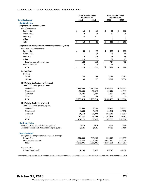|                                                         | <b>Three Months Ended</b><br>September 30, |         |    |           |    | <b>Nine Months Ended</b><br>September 30, |                         |           |  |  |  |  |
|---------------------------------------------------------|--------------------------------------------|---------|----|-----------|----|-------------------------------------------|-------------------------|-----------|--|--|--|--|
| <b>Dominion Energy</b>                                  | 2016                                       |         |    | 2015      |    | 2016                                      |                         | 2015      |  |  |  |  |
| <b>Gas Distribution</b>                                 |                                            |         |    |           |    |                                           |                         |           |  |  |  |  |
| Regulated Gas Revenue (\$mm)                            |                                            |         |    |           |    |                                           |                         |           |  |  |  |  |
| Gas sales revenue                                       |                                            |         |    |           |    |                                           |                         |           |  |  |  |  |
| Residential                                             | \$                                         | 16      | \$ | 18        | \$ | 91                                        | \$                      | 132       |  |  |  |  |
| Commercial                                              |                                            | 2       |    | 3         |    | 17                                        |                         | 25        |  |  |  |  |
| Industrial                                              |                                            | 0       |    |           |    | $\mathbf{1}$                              |                         | 1         |  |  |  |  |
| Other                                                   |                                            |         |    |           |    | 1                                         |                         | 3         |  |  |  |  |
| Total                                                   | \$                                         | 18      | \$ | 21        | \$ | 110                                       | $\overline{\mathsf{S}}$ | 161       |  |  |  |  |
| Regulated Gas Transportation and Storage Revenue (\$mm) |                                            |         |    |           |    |                                           |                         |           |  |  |  |  |
| Gas transportation revenue                              |                                            |         |    |           |    |                                           |                         |           |  |  |  |  |
| Residential                                             | \$                                         | 83      | \$ | 78        | \$ | 259                                       | \$                      | 273       |  |  |  |  |
| Commercial                                              |                                            | 15      |    | 14        |    | 70                                        |                         | 88        |  |  |  |  |
| Industrial                                              |                                            | 14      |    | 12        |    | 45                                        |                         | 46        |  |  |  |  |
| Other                                                   |                                            | 10      |    | 9         |    | 30                                        |                         | 25        |  |  |  |  |
| Total transportation revenue                            |                                            | 122     |    | 113       |    | 404                                       |                         | 432       |  |  |  |  |
| Storage revenue                                         |                                            | 6       |    | 5         |    | 14                                        |                         | 12        |  |  |  |  |
| Total                                                   | \$                                         | 128     | \$ | 118       | \$ | 418                                       | \$                      | 444       |  |  |  |  |
| <b>Degree Days</b>                                      |                                            |         |    |           |    |                                           |                         |           |  |  |  |  |
| Heating                                                 |                                            |         |    |           |    |                                           |                         |           |  |  |  |  |
| Actual                                                  |                                            | 22      |    | 48        |    | 3,435                                     |                         | 4,191     |  |  |  |  |
| Normal                                                  |                                            | 90      |    | 89        |    | 3,617                                     |                         | 3,558     |  |  |  |  |
| LDC Natural Gas Customers (Average)                     |                                            |         |    |           |    |                                           |                         |           |  |  |  |  |
| Total LDC natural gas customers                         |                                            |         |    |           |    |                                           |                         |           |  |  |  |  |
| Residential                                             | 1,197,366                                  |         |    | 1,191,295 |    | 1,206,554                                 |                         | 1,203,245 |  |  |  |  |
| Commercial                                              |                                            | 91,540  |    | 90,925    |    | 92,726                                    |                         | 92,319    |  |  |  |  |
| Industrial                                              |                                            | 1,491   |    | 1,481     |    | 1,497                                     |                         | 1,497     |  |  |  |  |
| Other                                                   |                                            | 22      |    | 23        |    | 22                                        |                         | 23        |  |  |  |  |
| Total                                                   | 1,290,419                                  |         |    | 1,283,724 |    | 1,300,799                                 |                         | 1,297,084 |  |  |  |  |
| LDC Natural Gas Delivery (mmcf)                         |                                            |         |    |           |    |                                           |                         |           |  |  |  |  |
| Total LDC natural gas throughput                        |                                            |         |    |           |    |                                           |                         |           |  |  |  |  |
| Residential                                             |                                            | 5,589   |    | 6,153     |    | 74,263                                    |                         | 88,127    |  |  |  |  |
| Commercial                                              |                                            | 4,848   |    | 5,125     |    | 40,542                                    |                         | 47,052    |  |  |  |  |
| Industrial                                              |                                            | 34,153  |    | 28,974    |    | 102,241                                   |                         | 96,507    |  |  |  |  |
| Other                                                   |                                            | 62,581  |    | 49,765    |    | 164,313                                   |                         | 130,152   |  |  |  |  |
| Total                                                   |                                            | 107,171 |    | 90,017    |    | 381,359                                   |                         | 361,838   |  |  |  |  |
| <b>Gas Transmission</b>                                 |                                            |         |    |           |    |                                           |                         |           |  |  |  |  |
| Natural Gas Liquids sales (million gallons)             |                                            | 22.8    |    | 30.8      |    | 66.5                                      |                         | 88.9      |  |  |  |  |
| Average Realized NGL Price with Hedging (\$/gal)        |                                            | \$0.45  |    | \$0.48    |    | \$0.52                                    |                         | \$0.56    |  |  |  |  |
| <b>Dominion Retail</b>                                  |                                            |         |    |           |    |                                           |                         |           |  |  |  |  |
| Unregulated Energy Customer Accounts (Average)          |                                            |         |    |           |    |                                           |                         |           |  |  |  |  |
| <b>Natural Gas</b>                                      |                                            | 327,600 |    | 315,205   |    | 326,179                                   |                         | 299,057   |  |  |  |  |
| <b>Products and Services</b>                            | 1,049,275                                  |         |    | 1,003,529 |    | 1,041,347                                 |                         | 985,700   |  |  |  |  |
| Total                                                   | 1,376,876                                  |         |    | 1,318,735 |    | 1,367,526                                 |                         | 1,284,757 |  |  |  |  |
| <b>Volumes Sold</b>                                     |                                            |         |    |           |    |                                           |                         |           |  |  |  |  |
| Natural Gas (mmcf)                                      |                                            | 7,206   |    | 7,867     |    | 43,543                                    |                         | 48,150    |  |  |  |  |

Note: Figures may not add due to rounding. Does not include Dominion Questar operating statistics due to transaction close on September 16, 2016.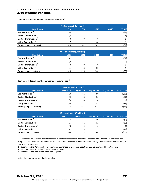## <span id="page-21-0"></span>2016 Weather Variance

**Dominion - Effect of weather compared to normal <sup>1</sup>**

| Pre-tax Impact (\$millions)               |             |             |      |                          |               |  |  |  |  |  |
|-------------------------------------------|-------------|-------------|------|--------------------------|---------------|--|--|--|--|--|
| <b>Description</b>                        | <b>1Q16</b> | <b>2Q16</b> | 3Q16 | 4Q16                     | <b>FY2016</b> |  |  |  |  |  |
| Gas Distribution <sup>2</sup>             | (\$3)       | \$1         | (51) | $\overline{\phantom{a}}$ | (\$3)         |  |  |  |  |  |
| <b>Electric Distribution</b> <sup>3</sup> | (8)         | (14)        | 18   | ۰                        | (4)           |  |  |  |  |  |
| <b>Electric Transmission</b> <sup>3</sup> | (0)         | (0)         | 0    | $\overline{\phantom{0}}$ | 0             |  |  |  |  |  |
| Utility Generation <sup>4</sup>           | ี่ 17)      | (29)        | 48   | ۰                        |               |  |  |  |  |  |
| Earnings Impact (pre-tax)                 | (\$29)      | (\$42)      | \$65 |                          | (\$6)         |  |  |  |  |  |

| After-tax Impact (\$millions)             |             |             |      |                          |               |  |  |  |  |  |
|-------------------------------------------|-------------|-------------|------|--------------------------|---------------|--|--|--|--|--|
| <b>Description</b>                        | <b>1Q16</b> | <b>2Q16</b> | 3Q16 | 4Q16                     | <b>FY2016</b> |  |  |  |  |  |
| Gas Distribution <sup>2</sup>             | (\$2)       | \$1         | (51) | $\overline{\phantom{0}}$ | (52)          |  |  |  |  |  |
| <b>Electric Distribution</b> <sup>3</sup> | (5)         | (8)         | 11   | -                        | (2)           |  |  |  |  |  |
| <b>Electric Transmission</b> <sup>3</sup> | (0)         | (0)         |      | $\overline{\phantom{0}}$ |               |  |  |  |  |  |
| Utility Generation <sup>4</sup>           | (11)        | (18)        | 29   | $\overline{\phantom{a}}$ |               |  |  |  |  |  |
| Earnings Impact (after-tax)               | (\$18)      | (\$26)      | \$40 | -                        | (\$3)         |  |  |  |  |  |

**Dominion - Effect of weather compared to prior period <sup>1</sup>**

| Pre-tax Impact (\$millions)               |             |             |             |                          |             |  |  |  |  |  |
|-------------------------------------------|-------------|-------------|-------------|--------------------------|-------------|--|--|--|--|--|
| <b>Description</b>                        | 1Q16 v. '15 | 2016 v. '15 | 3Q16 v. '15 | 4016 v. '15              | FY16 v. '15 |  |  |  |  |  |
| Gas Distribution <sup>2</sup>             | (513)       | \$2         | (\$0)       | -                        | (511)       |  |  |  |  |  |
| <b>Electric Distribution</b> <sup>3</sup> | (24)        | (18)        | 20          | ۰                        | (22)        |  |  |  |  |  |
| <b>Electric Transmission 3</b>            | (0)         | (0)         | 0           | ۰                        | (0)         |  |  |  |  |  |
| Utility Generation <sup>4</sup>           | (50)        | (38)        | 53          | $\overline{\phantom{0}}$ | (36)        |  |  |  |  |  |
| Earnings Impact (pre-tax)                 | (\$87)      | (\$55)      | \$73        |                          | (569)       |  |  |  |  |  |

| After-tax Impact (\$millions)             |             |             |             |                          |             |  |  |  |  |  |
|-------------------------------------------|-------------|-------------|-------------|--------------------------|-------------|--|--|--|--|--|
| <b>Description</b>                        | 1016 v. '15 | 2016 v. '15 | 3016 v. '15 | 4016 v. '15              | FY16 v. '15 |  |  |  |  |  |
| Gas Distribution <sup>2</sup>             | (\$8)       | \$1         | (\$0)       | $\overline{\phantom{0}}$ | (\$7)       |  |  |  |  |  |
| <b>Electric Distribution</b> <sup>3</sup> | (15)        | (11)        | 12          |                          | (13)        |  |  |  |  |  |
| <b>Electric Transmission 3</b>            | (0)         | (0)         | 0           | $\overline{\phantom{0}}$ | (0)         |  |  |  |  |  |
| Utility Generation <sup>4</sup>           | (31)        | (23)        | 32          |                          | (22)        |  |  |  |  |  |
| <b>Earnings Impact (after-tax)</b>        | (\$53)      | (\$33)      | \$44        |                          | (542)       |  |  |  |  |  |

1) The effects on earnings from differences in weather compared to normal and compared to prior periods are measured using base rate revenue. This schedule does not reflect the O&M expenditures for restoring service associated with outages caused by major storms.

2) Reported in the Dominion Energy segment. Comprised of Dominion East Ohio Gas Company and Hope Gas, Inc.

3) Reported in the Dominion Virginia Power segment.

4) Reported in the Dominion Generation segment.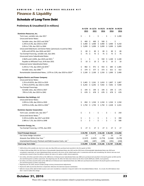# <span id="page-22-0"></span>Finance & Liquidity

# <span id="page-22-1"></span>Schedule of Long-Term Debt

## **Preliminary & Unaudited (\$ in millions)**

|                                                                               |    | AL 9/30<br>2015 |    | 2015                         |    | 2016     |     | ALLZ/31 ALU3/31 ALU0/30 ALU9/30<br>2016 |    | 2016     |
|-------------------------------------------------------------------------------|----|-----------------|----|------------------------------|----|----------|-----|-----------------------------------------|----|----------|
| Dominion Resources, Inc.                                                      |    |                 |    |                              |    |          |     |                                         |    |          |
| Term Loan, variable rate, due 2017                                            | \$ |                 | \$ |                              | \$ |          | \$  |                                         | \$ | 1,200    |
| <b>Unsecured Senior Notes:</b>                                                |    |                 |    |                              |    |          |     |                                         |    |          |
| Variable rates, due 2015 and 2016 <sup>1</sup>                                | \$ | 400             | \$ | 600                          | \$ | 500      | \$  |                                         | \$ |          |
| 1.25% to 6.4%, due 2016 to 2019                                               | \$ | 3,400           | \$ | 3,400                        | \$ | 3,900    | \$  | 3,900                                   | \$ | 4,250    |
| 2.0% to 7.0%, due 2021 to 2044                                                | \$ | 5,099           |    | \$5,099                      |    | \$5,099  |     | \$5,099                                 | \$ | 5,899    |
| Unsecured Debentures and Senior Notes (previously issued by CNG):             |    |                 |    |                              |    |          |     |                                         |    |          |
| 6.8% and 6.875%, due 2026 and 2027                                            | \$ | 89              | \$ | 89                           | \$ | 89       | \$  | 89                                      | \$ | 89       |
| Tax-Exempt Financing, variable rate, due 2041                                 | \$ | 75              | Ś. | 75                           | Ŝ. | 75       | Ŝ.  | 75                                      | Ŝ. | 75       |
| Unsecured Junior Subordinated Notes:                                          |    |                 |    |                              |    |          |     |                                         |    |          |
| 2.962% and 4.104%, due 2019 and 2021 <sup>2</sup>                             | \$ |                 | \$ | $\overline{a}$               | \$ | 550      | \$  | 1,100                                   | \$ | 1,100    |
| Payable to Affiliated Trust, 8.4% due 2031                                    | \$ | 10              | \$ | 10                           | \$ | 10       | \$  | 10                                      | \$ | 10       |
| <b>Enhanced Junior Subordinated Notes:</b>                                    |    |                 |    |                              |    |          |     |                                         |    |          |
| 5.25% to 7.5%, due 2054 and 2076 <sup>3</sup>                                 | \$ | 982             | \$ | 971                          | \$ | 933      | \$. | 685                                     | \$ | 1,485    |
| Variable rates, due 2066 34                                                   | \$ | 379             | \$ | 377                          | \$ | 373      | \$  | 621                                     | \$ | 422      |
| Remarketable Subordinated Notes, 1.07% to 2.0%, due 2019 to 2024 <sup>2</sup> | \$ | 2,100           |    | \$2,100                      |    | \$1,550  |     | \$1,000                                 | \$ | 2,400    |
| <b>Virginia Electric and Power Company</b>                                    |    |                 |    |                              |    |          |     |                                         |    |          |
| <b>Unsecured Senior Notes:</b>                                                |    |                 |    |                              |    |          |     |                                         |    |          |
| 1.2% to 8.625%, due 2015 to 2019                                              | \$ | 2,465           |    | \$2,261                      | \$ | 1,810    | \$  | 1,807                                   | Ş  | 1,807    |
| 2.75% to 8.875%, due 2022 to 2045                                             | \$ | 6,292           |    | $$6,292$$ $$7,042$$ $$7,042$ |    |          |     |                                         | \$ | 7,040    |
| Tax-Exempt Financings:                                                        |    |                 |    |                              |    |          |     |                                         |    |          |
| Variable rates, due 2016 to 2027                                              | \$ | 194             | \$ | 194                          | \$ | 194      | \$  | 194                                     | \$ | 175      |
| .70% to 5.6%, due 2023 to 2041                                                | \$ | 678             | Ŝ. | 678                          | Ŝ. | 678      | -Ś  | 678                                     | -Ś | 678      |
| <b>Dominion Gas Holdings, LLC</b>                                             |    |                 |    |                              |    |          |     |                                         |    |          |
| <b>Unsecured Senior Notes:</b>                                                |    |                 |    |                              |    |          |     |                                         |    |          |
| 1.05% to 2.8%, due 2016 to 2020                                               | \$ | 850             |    | $$1,550 \$1,550 \$1,550$     |    |          |     |                                         |    | \$1,550  |
| 2.875% to 4.8%, due 2023 to 2044 <sup>5</sup>                                 | Ś. | 1,750           |    | $$1,750 \t$ 1,750 \t$ 2,428$ |    |          |     |                                         |    | \$2,431  |
| <b>Dominion Questar Corporation</b>                                           |    |                 |    |                              |    |          |     |                                         |    |          |
| Term Loan, variable rate, due 2017 <sup>6</sup>                               | \$ |                 | \$ |                              | \$ |          | \$  |                                         | \$ | 250      |
| Unsecured Senior Notes: 6                                                     |    |                 |    |                              |    |          |     |                                         |    |          |
| 5.31% to 6.85%, due 2017 and 2018                                             | \$ |                 | \$ |                              | \$ |          | \$  |                                         | \$ | 390      |
| 2.98% to 7.2%, due 2024 to 2048                                               | Ś  |                 | \$ |                              | \$ |          | Ś   |                                         | Ś  | 580      |
| Dominion Energy, Inc.                                                         |    |                 |    |                              |    |          |     |                                         |    |          |
| Tax-Exempt Financing, 2.375%, due 2033                                        | \$ | 27              | \$ | 27                           | \$ | 27       | \$  | 27                                      | \$ | 27       |
| <b>Total Principal Amount</b>                                                 |    | \$24,790        |    | \$25,473                     |    | \$26,130 |     | \$26,305                                |    | \$31,858 |
| Fair Value Hedge Valuation                                                    |    | 19              |    | 7                            |    | 19       |     | 21                                      |    | 14       |
| Amounts Due Within One Year '                                                 |    | (1,527)         |    | (1,825)                      |    | (1,774)  |     | (1, 348)                                |    | (3,278)  |
| Unamortized Discount, Premium and Debt Issuance Costs, net <sup>7</sup>       |    | (184)           |    | (187)                        |    | (189)    |     | (191)                                   |    | (234)    |
| Total Long-Term Debt <sup>7</sup>                                             |    | \$23,098        |    | \$23,468                     |    | \$24,186 |     | \$ 24,787                               |    | \$28,360 |

**At 9/30 At 12/31 At 03/31 At 06/30 At 09/30**

*1) \$100 million of the variable rate short-term notes due May 2016 were purchased and cancelled in the first quarter of 2016.* 

*2) In March 2016 and May 2016, the 2013 Series A Remarketable Subordinated Notes due 2021 and the 2013 Series B Remarketable Subordinated Notes due 2019 were remarketed, respectively, as Junior Subordinated Notes pursuant to the terms of the related equity units. In connection with the each remarketing, the interest rate was reset and Dominion ceased to have the ability to redeem the notes at its option or defer interest payments.* 

*3) \$11 million, 38 million and \$125 million of the 2006 Series A Enhanced Junior Subordinated Notes due 2066 were purchased and cancelled in the fourth quarter of 2015 and the first and third quarters of 2016, respectively Also beginning June 30, 2016, the Notes bear interest at the three-month LIBOR plus 2.825%, reset quarterly.* 

*4) \$2 million, \$4 million and \$74 million of the 2006 Series B Enhanced Junior Subordinated Notes due 2066 were purchased and cancelled in the fourth quarter of 2015 and the first and third quarters of 2016, respectively.*

*5) Beginning June 30, 2016, amount includes foreign currency remeasurement adjustments.* 

*6) Represents debt assumed by Dominion in September 2016 from the Dominion Questar Combination.* 

*7) Effective January 2016, deferred debt issuance costs were recorded as a reduction in long-term debt in the Consolidated Balance Sheets. As a result, the 2015 balances have been recast to reflect this change.*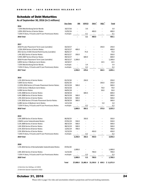# <span id="page-23-0"></span>Schedule of Debt Maturities

**As of September 30, 2016 (in \$ millions)**

|                                                       | Due Date     | <b>DRI</b>               | <b>VEPCO</b>             | DGH                      | DQC                      | Total                                                 |
|-------------------------------------------------------|--------------|--------------------------|--------------------------|--------------------------|--------------------------|-------------------------------------------------------|
| 2016                                                  |              |                          |                          |                          |                          |                                                       |
| 7.25% Mecklenburg Senior Bonds                        | 10/17/16     |                          | 3.0                      |                          |                          | 3.0                                                   |
| 1.05% 2013 Series A Senior Notes                      | 11/01/16     |                          | $\frac{1}{2}$            | 400.0                    |                          | 400.0                                                 |
| 7.25% Ft Story, Ft Eustis and Ft Lee Promissory Notes | multiple     |                          | 0.1                      | $\sim$                   |                          | 0.1                                                   |
| 2016 Total                                            |              |                          | 3.1                      | 400.0                    |                          | 403.1                                                 |
| 2017                                                  |              |                          |                          |                          |                          |                                                       |
| 2016 Private Placement Term Loan (variable)           | 02/23/17     |                          |                          |                          | 250.0                    | 250.0                                                 |
| 1.25% 2014 Series A Senior Notes                      | 03/15/17     | 400.0                    |                          |                          |                          | 400.0                                                 |
| 2011 Series A EDA Chesterfield County (variable)      | 06/01/17     | $\overline{\phantom{a}}$ | 75.0                     |                          |                          | 75.0                                                  |
| 1.4% 2012 Series A Senior Notes                       | 09/15/17     | 350.0                    | $\overline{\phantom{a}}$ |                          |                          | 350.0                                                 |
| 5.95% 2007 Series B Senior Notes                      | 09/15/17     |                          | 600.0                    |                          | $\blacksquare$           | 600.0                                                 |
| 2016 Private Placement Term Loan (variable)           | 09/15/17     | 1,200.0                  |                          |                          | $\blacksquare$           | 1,200.0                                               |
| 6.85% Series C Medium-term Notes                      | 10/10/17     |                          | $\overline{\phantom{a}}$ | ٠                        | 14.5                     | 14.5                                                  |
| 7.25% Mecklenburg Senior Bonds                        | multiple     |                          | 3.4                      |                          | ÷                        | 3.4                                                   |
| 7.25% Ft Story, Ft Eustis and Ft Lee Promissory Notes | multiple     | $\overline{\phantom{a}}$ | 0.2                      | $\overline{\phantom{m}}$ | $\overline{\phantom{a}}$ | 0.2                                                   |
| 2017 Total                                            |              | 1,950.0                  | 678.6                    | $\overline{a}$           | 264.5                    | 2,893.1                                               |
| 2018                                                  |              |                          |                          |                          |                          |                                                       |
| 1.2% 2013 Series A Senior Notes                       | 01/15/18     |                          | 250.0                    |                          |                          | 250.0                                                 |
| 5.83% Senior Notes                                    | 02/01/18     | $\overline{\phantom{a}}$ |                          |                          | 250.0                    | 250.0                                                 |
| 2.125% 2016 Series A Private Placement Senior Notes   | 02/15/18     | 500.0                    | $\overline{\phantom{a}}$ | ٠                        | $\blacksquare$           | 500.0                                                 |
| 5.31% Series E Medium-term Notes                      | 03/15/18     | $\overline{\phantom{a}}$ | $\overline{\phantom{a}}$ | ÷,                       | 70.0                     | 70.0                                                  |
| 6.30% Senior Notes                                    | 04/01/18     |                          | ÷,                       |                          | 50.0                     | 50.0                                                  |
| 5.4% 2008 Series A Senior Notes                       | 04/30/18     | $\overline{\phantom{a}}$ | 600.0                    |                          | ÷,                       | 600.0                                                 |
| 6.4% 2008 Series A Senior Notes                       | 06/15/18     | 500.0                    |                          |                          |                          | 500.0                                                 |
| 1.9% 2015 Series A Senior Notes                       | 06/15/18     | 500.0                    |                          | ٠                        | ٠                        | 500.0                                                 |
| 1.5% 2016 Series E Private Placement Senior Notes     | 09/30/18     | 300.0                    |                          |                          |                          | 300.0                                                 |
| 6.48% Series A Medium-term Notes                      | 12/11/18     |                          |                          |                          | 5.0                      | 5.0                                                   |
| 7.25% Ft Story, Ft Eustis and Ft Lee Promissory Notes | multiple     | $\overline{\phantom{a}}$ | 0.2                      | $\overline{\phantom{m}}$ |                          | 0.2                                                   |
| 2018 Total                                            |              | 1,800.0                  | 850.2                    |                          | 375.0                    | 3,025.2                                               |
| 2019                                                  |              |                          |                          |                          |                          |                                                       |
| 5.0% 2009 Series A Senior Notes                       | 06/30/19     |                          | 350.0                    |                          |                          | 350.0                                                 |
| 2.962% Junior Subordinated Notes                      | 07/01/19     | 550.0                    |                          |                          |                          | 550.0                                                 |
| 5.2% 2009 Series A Senior Notes                       | 08/15/19     | 500.0                    |                          |                          |                          | 500.0                                                 |
| 1.6% 2016 Series B Senior Notes                       | 08/15/19     | 500.0                    | $\overline{\phantom{a}}$ |                          |                          | 500.0                                                 |
| 2.5% 2014 Series B Senior Notes                       | 12/01/19     | 700.0                    |                          | $\overline{\phantom{0}}$ |                          | 700.0                                                 |
| 2.5% 2014 Series A Senior Notes                       | 12/15/19     |                          |                          | 450.0                    |                          | 450.0                                                 |
| 7.25% Ft Story, Ft Eustis and Ft Lee Promissory Notes | multiple     |                          | 0.2                      |                          |                          | 0.2                                                   |
| 2019 Total                                            |              | 2,250.0                  | 350.2                    | 450.0                    |                          | 3,050.2                                               |
| 2020                                                  |              |                          |                          |                          |                          |                                                       |
| 1.5% 2014 Series A Remarketable Subordinated Notes    | 07/01/20     |                          |                          |                          |                          |                                                       |
|                                                       |              | 1,000.0                  |                          |                          |                          | 1,000.0                                               |
| 2.8% 2015 Series A Senior Notes                       | 11/15/20     |                          |                          | 700.0                    |                          | 700.0                                                 |
| 7.25% Ft Story, Ft Eustis and Ft Lee Promissory Notes | multiple     | $\overline{\phantom{a}}$ | 0.3                      | $\sim$                   |                          | 0.3                                                   |
| 2020 Total                                            |              | 1,000.0                  | 0.3                      | 700.0                    |                          | 1,700.3                                               |
|                                                       | <b>Total</b> |                          |                          |                          |                          | $$7,000.0$ $$1,882.4$ $$1,550.0$ $$639.5$ $$11,071.9$ |
| 1) Dominion Gas Holdings, LLC (DGH)                   |              |                          |                          |                          |                          |                                                       |

*2) Dominion Questar Corporation (DQC)*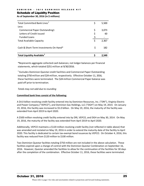## DOMINION - 3Q16 EARNINGS RELEASE KIT

## <span id="page-24-0"></span>Schedule of Liquidity Position

**As of September 30, 2016 (in \$ millions)**

| <b>Total Liquidity Available</b> <sup>1</sup> | 2.549       |
|-----------------------------------------------|-------------|
| Cash & Short-Term Investments On Hand*        | \$<br>182   |
| <b>Total Available Capacity</b>               | \$<br>2,367 |
| <b>Funded Loans</b>                           |             |
| Letters of Credit Issued                      | 60          |
| <b>Commercial Paper Outstanding1</b>          | \$<br>3,073 |
| Less:                                         |             |
| Total Committed Bank Lines <sup>1</sup>       | \$<br>5,500 |

\*Represents aggregate collected cash balances; not ledger balances per financial statements, which totaled \$251 million at 9/30/2016.

 $1$  Excludes Dominion Questar credit facilities and Commercial Paper Outstanding totaling \$750 million and \$24 million, respectively. Effective October 11, 2016, these facilities were terminated. The \$24 million Commercial Paper balance was paid off prior to termination.

## *Totals may not add due to rounding*

## **Committed bank lines consist of the following:**

A \$4.0 billion revolving credit facility entered into by Dominion Resources, Inc. ("DRI"), Virginia Electric and Power Company ("VEPCO"), and Dominion Gas Holdings, LLC ("DGH") on May 19, 2014. On January 19, 2016, this facility was increased to \$5.0 billion. On May 19, 2016, the maturity of the facility was extended from April 2019 to April 2020.

A \$500 million revolving credit facility entered into by DRI, VEPCO, and DGH on May 30, 2014. On May 19, 2016, the maturity of the facility was extended from April 2019 to April 2020.

Additionally, VEPCO maintains a \$120 million revolving credit facility (not reflected in table above) that was amended and restated on May 19, 2016 in order to extend the maturity date of the facility to April 2020. This facility is dedicated to certain tax-exempt bond issuances by VEPCO. On October 4, 2016, this facility was reduced from \$120 million to \$100 million.

Two Dominion Questar facilities totaling \$750 million are not included in the above calculation. These facilities expired upon a change of control with the Dominion Questar Combination on September 16, 2016. However, Questar amended the facilities to allow for the continuation of the facilities for 30 days after the completion of the combination. Effective October 11, 2016, these facilities were terminated.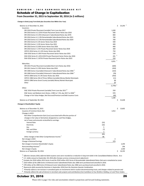## D O M I N I O N - 3 Q 1 6 E A R N I N G S R E L E A S E K I T

## <span id="page-25-0"></span>Schedule of Change in Capitalization

**From December 31, 2015 to September 30, 2016 (in \$ millions)**

**Change in Debt (Long-Term Debt plus Securities Due Within One Year)**

| Balance as of December 31, 2015                                                   |      |                        | $25,293$ <sup>1</sup><br>\$ |
|-----------------------------------------------------------------------------------|------|------------------------|-----------------------------|
| Issuances:                                                                        |      |                        |                             |
| DRI 2016 Private Placement (variable) Term Loan due 2017                          |      | 1,200                  |                             |
| DRI 2016 Series A 2.125% Private Placement Senior Notes due 2018                  |      | 500                    |                             |
| DRI 2016 Series A 5.25% Enhanced Jr Subordinated Notes due 2076                   |      | 800                    |                             |
| DRI 2016 Series A-1 2.0% Remarketable Subordinated Notes due 2021                 |      | 700                    |                             |
| DRI 2016 Series A-2 2.0% Remarketable Subordinated Notes due 2024                 |      | 700                    |                             |
| DRI 2016 Series B 1.6% Senior Notes Due 2019                                      |      | 500                    |                             |
| DRI 2016 Series C 2.0% Senior Notes Due 2021                                      |      | 400                    |                             |
| DRI 2016 Series D 2.85% Senior Notes Due 2026                                     |      | 400                    |                             |
| DRI 2016 Series E 1.5% Private Placement Senior Notes Due 2018                    |      | 300                    |                             |
| VEPCO 2016 Series A 3.15% Senior Notes due 2026                                   |      | 750                    |                             |
| DGH 2016 Series A 3.8% Private Placement Senior Notes due 2031                    |      | 150                    |                             |
| DGH 2016 Series B 1.45% €250 Private Placement Senior Notes due 2026              |      | $281^{2}$              |                             |
| DGH 2016 Series C 2.875% Private Placement Senior Notes due 2023                  |      | 250                    |                             |
| Maturities:                                                                       |      | $6,931$ <sup>3</sup>   |                             |
| DRI 2015 Private Placement (variable) Short-term Notes due 2016                   |      | (600)                  |                             |
| DRI 2011 Series D 1.95% Senior Notes due 2016                                     |      | (450)                  |                             |
| DRI 2006 Series A (variable) Enhanced Jr Subordinated Notes due 2066 <sup>4</sup> |      | (163)                  |                             |
| DRI 2006 Series B (variable) Enhanced Jr Subordinated Notes due 2066 <sup>5</sup> |      | (78)                   |                             |
| VEPCO 2006 Series A 5.4% Senior Notes due 2016                                    |      | (450)                  |                             |
| VEPCO 1986 Series IDA of Prince William (variable) Money Market Municipals        |      | (11)                   |                             |
| VEPCO 1986 Series Grant County (variable) Money Market Municipals                 |      | (8)                    |                             |
| Other                                                                             |      | (6)                    |                             |
|                                                                                   |      | $(1,766)$ <sup>3</sup> |                             |
| Other:                                                                            |      |                        |                             |
| DQC 2016 Private Placement (variable) Term Loan due 2017 <sup>6</sup>             |      | 250                    |                             |
| DQC Senior and Medium-term Notes, 2.98% to 7.2%, due 2017 to 2048                 |      | 970                    |                             |
| Change in Fair Value Hedges, Net Discount/Premium and Debt Issuance Costs         |      | (40)                   |                             |
|                                                                                   |      | 1,180                  |                             |
| Balance as of September 30, 2016                                                  |      | \$                     | 31,638                      |
| <b>Change in Shareholders' Equity</b>                                             |      |                        |                             |
| Balance as of December 31, 2015                                                   |      | \$                     | 13,602                      |
| Issuance of Common Stock, Net                                                     |      | 1,912                  |                             |
| Changes in AOCI:                                                                  |      |                        |                             |
| Net Other Comprehensive Gain (Loss) associated with effective portion of          |      |                        |                             |
| changes in fair value of derivatives designated as cash flow hedges,              |      |                        |                             |
| net of taxes and amounts reclassified to earnings:                                |      |                        |                             |
| <b>Interest Rate</b>                                                              | (53) |                        |                             |
| Electricity                                                                       | (32) |                        |                             |
| Gas                                                                               | 5    |                        |                             |
| NGL and Other                                                                     | (7)  |                        |                             |
| Foreign currency                                                                  | 2    |                        |                             |
|                                                                                   | (85) |                        |                             |
| Other changes in Net Other Comprehensive Income <sup>7</sup>                      | 88   |                        |                             |
| Net change in AOCI                                                                |      | 3                      |                             |
| Change in Retained Earnings                                                       |      | 379                    |                             |
| Net change in Common Shareholder's Equity                                         |      |                        | 2,294                       |
| Noncontrolling Interests <sup>8</sup>                                             |      |                        | 296                         |
| Net change in Equity                                                              |      |                        | 2,590                       |
| Balance as of September 30, 2016                                                  |      |                        | 16,192<br>\$                |
|                                                                                   |      |                        |                             |

<sup>1)</sup> Effective January 2016, deferred debt issuance costs were recorded as a reduction in long-term debt in the Consolidated Balance Sheets. As a

*2) U.S. dollar amount at September 30, 2016 after foreign currency remeasurement adjustment.* 

*3) Excludes the \$550 million 2013 Series A and the \$550 million 2013 Series B Remarketable Subordinated Notes that were remarketed as Junior* 

*4) \$163 million of the 2006 Series A Enhanced Junior Subordinated Notes due 2066 were purchased and cancelled in 2016.*

*5) \$78 million of the 2006 Series B Enhanced Junior Subordinated Notes due 2066 were purchased and cancelled in 2016.*

*6) Represents debt assumed by Dominion in September 2016 from the Dominion Questar Combination.*

*7) Primarily reflects a net increase in unrealized gains on investments held in nuclear decommissioning trusts, and changes related to pension and* 

*8) Primarily reflects the sale of interest in merchant solar projects and contributions from SunEdison to Four Brothers Holding, LLC and Three Cedars.* 

# October 31, 2016

Please refer to page 3 for risks and uncertainties related to projections and forward-looking statements.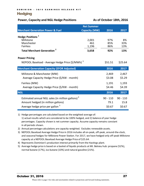# <span id="page-26-0"></span>**Hedging**

# **Power, Capacity and NGL Hedge Positions As of October 18th, 2016**

|                                                              | <b>Net Summer</b> |            |            |
|--------------------------------------------------------------|-------------------|------------|------------|
| <b>Merchant Generation Power &amp; Fuel</b>                  | Capacity (MW)     | 2016       | 2017       |
| Hedge Positions <sup>1</sup>                                 |                   |            |            |
| Millstone                                                    | 2,001             | 97%        | 8%         |
| Manchester                                                   | 461               | 85%        | 33%        |
| <b>Fairless</b>                                              | 1,196             | 86%        | 13%        |
| <b>Total Merchant Generation</b>                             | 3,658             | 92%        | 13%        |
| <b>Power Pricing</b>                                         |                   |            |            |
| NEPOOL Baseload - Average Hedge Price (\$/MWh) <sup>3</sup>  |                   | \$51.51    | \$25.64    |
| <b>Merchant Generation Capacity (EFOR Adjusted)</b>          |                   | 2016       | 2017       |
| Millstone & Manchester (MW)                                  |                   | 2,469      | 2,467      |
| Average Capacity Hedge Price (\$/KW - month)                 |                   | \$3.08     | \$5.29     |
|                                                              |                   |            |            |
| Fairless (MW)                                                |                   | 1,191      | 1,193      |
| Average Capacity Hedge Price (\$/KW - month)                 |                   | \$4.46     | \$4.39     |
| <b>NGL</b>                                                   |                   | 2016       | 2017       |
| Estimated annual NGL sales (in million gallons) <sup>4</sup> |                   | $90 - 110$ | $90 - 110$ |
| Amount hedged (in million gallons)                           |                   | 79.1       | 15.8       |
|                                                              |                   |            |            |
| Average hedge price per gallon <sup>5</sup>                  |                   | \$0.67     | \$0.67     |

1) Hedge percentages are calculated based on the weighted-average of: 1) actual results which are considered to be 100% hedged, and 2) balance of year hedge percentages. Capacity shown is net summer capacity. Assume capacity remains constant in all periods shown.

- 
- 2) Annual percentage calculations are capacity-weighted. Excludes renewable assets.<br>
2) NEPOOL Baseload Average Hedge Price in 2016 includes all on-peak, off-peak, arou<br>
2) and seasonal hedges for Millstone Power Station. 3) NEPOOL Baseload Average Hedge Price in 2016 includes all on-peak, off-peak, around-the-clock,<br>
and seasonal hedges for Millstone Power Station. For 2017, we have hedged only off-peak Millsto<br>
capacity at a NEPOOL Baselo and seasonal hedges for Millstone Power Station. For 2017, we have hedged only off-peak Millstone capacity at a NEPOOL Baseload Average Hedge Price of \$25.64.
- 
- normal butane (17%), iso-butane (10%) and natural gasoline (21%).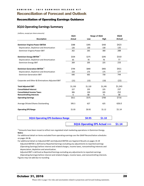D O M I N I O N - 3 Q 1 6 E A R N I N G S R E L E A S E K I T

# <span id="page-27-0"></span>Reconciliation of Forecast and Outlook

# <span id="page-27-1"></span>Reconciliation of Operating Earnings Guidance

# **3Q16 Operating Earnings Summary**

*(millions, except per share amounts)*

|                                                  | 3Q15          | Range of 3Q16 | 3Q16    |         |
|--------------------------------------------------|---------------|---------------|---------|---------|
| <b>Description</b>                               | <b>Actual</b> | Low           | High    | Actual  |
| <b>Dominion Virginia Power EBITDA</b>            | \$388         | \$395         | \$430   | \$423   |
| Depreciation, Depletion and Amortization         | 126           | 130           | 130     | 135     |
| Dominion Virginia Power EBIT                     | 262           | 265           | 300     | 288     |
| Dominion Energy EBITDA <sup>1</sup>              | \$334         | \$275         | \$295   | \$310   |
| Depreciation, Depletion and Amortization         | 65            | 70            | 70      | 77      |
| <b>Dominion Energy EBIT</b>                      | 269           | 205           | 225     | 233     |
| Dominion Generation EBITDA <sup>1</sup>          | \$794         | \$840         | \$905   | \$921   |
| Depreciation, Depletion and Amortization         | 154           | 175           | 175     | 177     |
| <b>Dominion Generation EBIT</b>                  | 640           | 665           | 730     | 744     |
| Corporate and Other & Eliminations Adjusted EBIT | (21)          | (15)          | (10)    | (22)    |
| <b>Total Adjusted EBIT</b>                       | \$1,150       | \$1,120       | \$1,245 | \$1,243 |
| <b>Consolidated Interest</b>                     | 227           | 235           | 225     | 237     |
| <b>Consolidated Income Taxes</b>                 | 306           | 230           | 245     | 252     |
| <b>Noncontrolling Interests</b>                  | 6             | 80            | 75      | 38      |
| <b>Operating Earnings</b>                        | \$611         | \$575         | \$700   | \$716   |
| Average Diluted Shares Outstanding               | 595.5         | 627           | 625     | 626.0   |
| <b>Operating EPS Range</b>                       | \$1.03        | \$0.92        | \$1.12  | \$1.14  |

**3Q16 Operating EPS Guidance Range**

**\$0.95 \$1.10**

**3Q16 Operating EPS Actual >>> \$1.14**

 $1)$  Amounts have been recast to reflect non-regulated retail marketing operations in Dominion Energy. **Notes:**

For additional detail on items excluded from operating earnings see the GAAP Reconciliation schedules on pages 34-36.

For additional detail on Adjusted EBIT and Adjusted EBITDA see Segment Results on pages 15-19 Adjusted EBITDA is defined as Reported Earnings excluding any adjustments to reported earnings (Operating Earnings) before interest and related charges, income taxes, noncontrolling interests and depreciation, depletion and amortization.

Adjusted EBIT is defined as Reported Earnings excluding any adjustments to reported earnings (Operating Earnings) before interest and related charges, income taxes, and noncontrolling interests.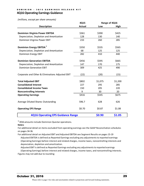# D O M I N I O N - 3 Q 1 6 E A R N I N G S R E L E A S E K I T **4Q16 Operating Earnings Guidance**

*(millions, except per share amounts)*

|                                                  | 4Q15          | Range of 4Q16 |         |  |
|--------------------------------------------------|---------------|---------------|---------|--|
| <b>Description</b>                               | <b>Actual</b> | Low           | High    |  |
| <b>Dominion Virginia Power EBITDA</b>            | \$361         | \$390         | \$425   |  |
| Depreciation, Depletion and Amortization         | 128           | 130           | 140     |  |
| Dominion Virginia Power EBIT                     | 233           | 260           | 285     |  |
| Dominion Energy EBITDA <sup>1</sup>              | \$350         | \$535         | \$565   |  |
| Depreciation, Depletion and Amortization         | 68            | 125           | 125     |  |
| <b>Dominion Energy EBIT</b>                      | 282           | 410           | 440     |  |
| <b>Dominion Generation EBITDA</b>                | \$456         | \$595         | \$665   |  |
| Depreciation, Depletion and Amortization         | 147           | 170           | 175     |  |
| <b>Dominion Generation EBIT</b>                  | 309           | 425           | 490     |  |
| Corporate and Other & Eliminations Adjusted EBIT | (22)          | (20)          | (15)    |  |
| <b>Total Adjusted EBIT</b>                       | \$802         | \$1,075       | \$1,200 |  |
| <b>Consolidated Interest</b>                     | 227           | 295           | 285     |  |
| <b>Consolidated Income Taxes</b>                 | 150           | 205           | 220     |  |
| <b>Noncontrolling Interests</b>                  | 9             | 30            | 20      |  |
| <b>Operating Earnings</b>                        | \$416         | \$545         | \$675   |  |
| Average Diluted Shares Outstanding               | 596.7         | 628           | 626     |  |
| <b>Operating EPS Range</b>                       | \$0.70        | \$0.87        | \$1.08  |  |
| <b>4Q16 Operating EPS Guidance Range</b>         |               | \$0.90        | \$1.05  |  |

 $1)$  2016 amounts include Dominion Questar operations.

## **Notes:**

For additional detail on items excluded from operating earnings see the GAAP Reconciliation schedules on pages 34-36.

For additional detail on Adjusted EBIT and Adjusted EBITDA see Segment Results on pages 15-19 Adjusted EBITDA is defined as Reported Earnings excluding any adjustments to reported earnings (Operating Earnings) before interest and related charges, income taxes, noncontrolling interests and depreciation, depletion and amortization.

Adjusted EBIT is defined as Reported Earnings excluding any adjustments to reported earnings (Operating Earnings) before interest and related charges, income taxes, and noncontrolling interests. Figures may not add due to rounding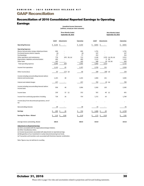# <span id="page-29-0"></span>GAAP Reconciliation

# <span id="page-29-1"></span>Reconciliation of 2016 Consolidated Reported Earnings to Operating Earnings

**Unaudited Income Statements (millions, except per share amounts)**

|                                                                  | <b>Three Months Ended</b><br>September 30, 2016 |                                |                 |            | <b>Nine Months Ended</b><br>September 30, 2016 |                          |                       |             |
|------------------------------------------------------------------|-------------------------------------------------|--------------------------------|-----------------|------------|------------------------------------------------|--------------------------|-----------------------|-------------|
|                                                                  | GAAP                                            | Adjustments                    |                 | Operating  | GAAP                                           | Adjustments              |                       | Operating   |
| <b>Operating Revenue</b>                                         | \$<br>3,132                                     | \$<br>$\overline{\phantom{a}}$ |                 | \$3,132    | \$<br>8,651                                    | \$<br>$\blacksquare$     |                       | \$<br>8,651 |
| <b>Operating Expenses</b>                                        |                                                 |                                |                 |            |                                                |                          |                       |             |
| Electric fuel and other energy-related purchases                 | 606                                             |                                |                 | 606        | 1,791                                          |                          |                       | 1,791       |
| Purchased (excess) electric capacity                             | (6)                                             |                                |                 | (6)        | 107                                            |                          |                       | 107         |
| Purchased gas                                                    | 77                                              |                                |                 | 77         | 252                                            |                          |                       | 252         |
| Other operations and maintenance                                 | 778                                             |                                | $(65)$ (b), (e) | 713        | 2,146                                          |                          | $(135)$ (a), (b), (e) | 2,011       |
| Depreciation, depletion and amortization                         | 400                                             |                                |                 | 400        | 1,112                                          | 9                        | (b)                   | 1,121       |
| Other taxes                                                      | 145                                             | $\overline{\phantom{a}}$       |                 | 145        | 448                                            | (5)                      | (a), (b)              | 443         |
| Total operating expenses                                         | 2,000                                           | (65)                           |                 | 1,935      | 5,856                                          | (131)                    |                       | 5,725       |
| Income from operations                                           | 1,132                                           | 65                             |                 | 1,197      | 2,795                                          | 131                      |                       | 2,926       |
| Other income (loss)                                              | 63                                              | (17)                           | (d)             | 46         | 189                                            | (30)                     | (d)                   | 159         |
| Income including noncontrolling interests before                 |                                                 |                                |                 |            |                                                |                          |                       |             |
| interest and income taxes                                        | 1,195                                           | 48                             |                 | 1,243      | 2,984                                          | 101                      |                       | 3,085       |
| Interest and related charges                                     | 237                                             | $\overline{\phantom{a}}$       |                 | 237        | 702                                            |                          | $(2)$ (b)             | 700         |
| Income including noncontrolling interests before<br>income taxes | 958                                             | 48                             |                 | 1,006      | 2,282                                          | 103                      |                       | 2,385       |
| Income taxes                                                     | 230                                             | 22                             | (c)             | 252        | 561                                            | 40                       | (c)                   | 601         |
| Income from continuing operations including                      | 728                                             | 26                             |                 | 754        | 1,721                                          | 63                       |                       | 1,784       |
| Income (loss) from discontinued operations, net of<br>tax        |                                                 |                                |                 |            |                                                |                          |                       |             |
| Noncontrolling interests                                         | 38                                              |                                |                 | 38         | 55                                             | $\overline{\phantom{a}}$ |                       | 55          |
| <b>Earnings</b>                                                  | 690                                             | Ş<br>26                        |                 | \$<br>716  | 1,666<br>Ş                                     | Ş<br>63                  |                       | 1,729       |
| <b>Earnings Per Share - Diluted</b>                              | 1.10<br>\$                                      | \$<br>0.04                     |                 | \$<br>1.14 | 2.71                                           | \$<br>0.10               |                       | 2.81        |
| Average shares outstanding, diluted                              | 626.0                                           |                                |                 | 626.0      | 613.8                                          |                          |                       | 613.8       |

**Adjustments to Reported Earnings**

(a) Items associated with the organizational design initiative.

(b) Other miscellaneous items.

(c) Income tax provisions associated with adjustments to reported earnings.

(d) Net gain/loss of our investment in nuclear decommissioning trust funds.

(e) Transaction and transition costs associated with Dominion Questar combination.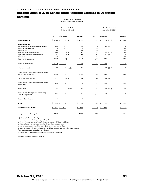# <span id="page-30-0"></span>Reconciliation of 2015 Consolidated Reported Earnings to Operating Earnings

**Unaudited Income Statements (millions, except per share amounts)**

|                                                                                                                                                                                                                                                          |                                               |                       | <b>Three Months Ended</b><br>September 30, 2015 |                                               |                                                       |                                                      | <b>Nine Months Ended</b><br>September 30, 2015 |                                                       |
|----------------------------------------------------------------------------------------------------------------------------------------------------------------------------------------------------------------------------------------------------------|-----------------------------------------------|-----------------------|-------------------------------------------------|-----------------------------------------------|-------------------------------------------------------|------------------------------------------------------|------------------------------------------------|-------------------------------------------------------|
|                                                                                                                                                                                                                                                          | GAAP                                          | Adjustments           |                                                 | Operating                                     | GAAP                                                  | Adjustments                                          |                                                | Operating                                             |
| <b>Operating Revenue</b>                                                                                                                                                                                                                                 | \$<br>2,971                                   | \$<br>5               | (f)                                             | \$2,976                                       | \$<br>9,127                                           | \$<br>23                                             | $(a)$ , $(f)$                                  | 9,150<br>\$                                           |
| <b>Operating Expenses</b><br>Electric fuel and other energy-related purchases<br>Purchased electric capacity<br>Purchased gas<br>Other operations and maintenance<br>Depreciation, depletion and amortization<br>Other taxes<br>Total operating expenses | 636<br>75<br>85<br>564<br>355<br>133<br>1,848 | $\blacksquare$<br>(3) | $(2)$ $(f)$<br>$(1)$ $(f)$                      | 636<br>75<br>85<br>562<br>354<br>133<br>1,845 | 2,180<br>259<br>446<br>1,875<br>1,037<br>432<br>6,229 | $(85)$ (b)<br>$(1)$ $(f)$<br>$\blacksquare$<br>(133) | $(47)$ (e), (f)                                | 2,095<br>259<br>446<br>1,828<br>1,036<br>432<br>6,096 |
| Income from operations                                                                                                                                                                                                                                   | 1,123                                         | 8                     |                                                 | 1,131                                         | 2,898                                                 | 156                                                  |                                                | 3,054                                                 |
| Other income (loss)                                                                                                                                                                                                                                      | 11                                            | 8                     | $(c)$ , $(f)$                                   | 19                                            | 127                                                   | (37)                                                 | $(c)$ , $(f)$                                  | 90                                                    |
| Income including noncontrolling interests before<br>interest and income taxes<br>Interest and related charges                                                                                                                                            | 1,134<br>230                                  | 16                    | $(3)$ (f)                                       | 1,150<br>227                                  | 3,025<br>674                                          | 119<br>$(3)$ (f)                                     |                                                | 3,144<br>671                                          |
| Income including noncontrolling interests before<br>income taxes                                                                                                                                                                                         | 904                                           | 19                    |                                                 | 923                                           | 2,351                                                 | 122                                                  |                                                | 2,473                                                 |
| Income taxes                                                                                                                                                                                                                                             | 305                                           | $\mathbf{1}$          | $(d)$ , $(g)$                                   | 306                                           | 794                                                   | 40                                                   | $(d)$ , $(g)$                                  | 834                                                   |
| Income from continuing operations including<br>noncontrolling interests                                                                                                                                                                                  | 599                                           | 18                    |                                                 | 617                                           | 1,557                                                 | 82                                                   |                                                | 1,639                                                 |
| Noncontrolling interests                                                                                                                                                                                                                                 | 6                                             | $\sim$                |                                                 | 6                                             | 15                                                    | $\sim$                                               |                                                | 15                                                    |
| <b>Earnings</b>                                                                                                                                                                                                                                          | 593                                           | \$<br>18              |                                                 | Ś<br>611                                      | 1,542                                                 | 82<br>Ś                                              |                                                | 1,624                                                 |
| <b>Earnings Per Share - Diluted</b>                                                                                                                                                                                                                      | 1.00                                          | \$<br>0.03            |                                                 | Ś<br>1.03                                     | 2.60                                                  | 0.14<br>S                                            |                                                | 2.74                                                  |

Average shares outstanding, diluted **595.5 595.5 592.7 592.7**

**Adjustments to Reported Earnings**

(a) Items associated with PJM prior-year billing adjustment.

(b) Write-off of prior-period deferred fuel costs associated with Virginia legislation.

(c) Net gain/loss of our investment in nuclear decommissioning trust funds.

(d) Income tax provisions associated with adjustments to reported earnings.

(e) Items associated with future ash pond and landfill closure costs at certain utility power stations.

(f) Items associated with rate adjustment clauses.

(g) Item associated with North Carolina Public Utility Commission order.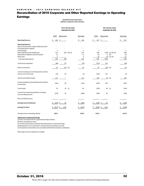# <span id="page-31-0"></span>Reconciliation of 2016 Corporate and Other Reported Earnings to Operating Earnings

**Unaudited Income Statements (millions, except per share amounts)**

**Three Months Ended September 30, 2016**

**Nine Months Ended September 30, 2016**

|                                                                         | GAAP         | Adjustments  |                      | Operating                | GAAP           | Adjustments  |                       | Operating      |
|-------------------------------------------------------------------------|--------------|--------------|----------------------|--------------------------|----------------|--------------|-----------------------|----------------|
| <b>Operating Revenue</b>                                                | \$<br>146    | \$<br>$\sim$ |                      | \$<br>146                | \$<br>477      | \$<br>$\sim$ |                       | Ś.<br>477      |
| <b>Operating Expenses</b>                                               |              |              |                      |                          |                |              |                       |                |
| Electric fuel and other energy-related purchases                        |              |              |                      |                          |                |              |                       |                |
| Purchased electric capacity                                             |              |              |                      |                          |                |              |                       |                |
| Purchased gas                                                           | $\mathbf{1}$ |              |                      | $\mathbf{1}$             | $\overline{2}$ |              |                       | $\overline{2}$ |
| Other operations and maintenance                                        | 212          |              | $(65)$ $(b)$ , $(e)$ | 147                      | 603            |              | $(135)$ (a), (b), (e) | 468            |
| Depreciation, depletion and amortization                                | 11           |              |                      | 11                       | 20             | 9            | (b)                   | 29             |
| Other taxes                                                             | 6            | $\sim$       |                      | 6                        | 26             | (5)          | $(a)$ , $(b)$         | 21             |
| Total operating expenses                                                | 230          | (65)         |                      | 165                      | 651            | (131)        |                       | 520            |
| Income from operations                                                  | (84)         | 65           |                      | (19)                     | (174)          | 131          |                       | (43)           |
| Other income (loss)                                                     | 33           | (17)         | (d)                  | 16                       | 70             | (30)         | (d)                   | 40             |
| Income including noncontrolling interests before                        |              |              |                      |                          |                |              |                       |                |
| interest and income taxes                                               | (51)         | 48           |                      | (3)                      | (104)          | 101          |                       | (3)            |
| Interest and related charges                                            | 113          |              |                      | 113                      | 346            | (2)          | (b)                   | 344            |
| Income including noncontrolling interests before<br>income taxes        | (164)        | 48           |                      | (116)                    | (450)          | 103          |                       | (347)          |
| Income taxes                                                            | 70           | 22           | (c)                  | 92                       | (204)          | 40           | (c)                   | (164)          |
| Income from continuing operations including<br>noncontrolling interests | (234)        | 26           |                      | (208)                    | (246)          | 63           |                       | (183)          |
| Noncontrolling interests                                                |              |              |                      | $\overline{\phantom{a}}$ |                |              |                       | $\sim$         |
| <b>Earnings (Loss) Contribution</b>                                     | (234)        | 26<br>\$     |                      | (208)<br>Ś               | Ś<br>(246)     | \$<br>63     |                       | (183)          |
| <b>Earnings Per Share</b>                                               | (0.37)<br>Ś  | \$<br>0.04   |                      | Ś<br>(0.33)              | Ś<br>(0.40)    | \$<br>0.10   |                       | (0.30)         |
| Average shares outstanding, diluted                                     | 626.0        |              |                      | 626.0                    | 613.8          |              |                       | 613.8          |

**Adjustments to Reported Earnings**

(a) Items associated with the organizational design initiative.

(b) Other miscellaneous items.

(c) Income tax provisions associated with adjustments to reported earnings.

(d) Net gain/loss of our investment in nuclear decommissioning trust funds.

(e) Transaction and transition costs associated with Dominion Questar combination.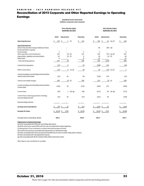# <span id="page-32-0"></span>Reconciliation of 2015 Corporate and Other Reported Earnings to Operating Earnings

**Unaudited Income Statements (millions, except per share amounts)**

|                                                                                                                                                                                                                              |                                  | <b>Three Months Ended</b><br>September 30, 2015 |               |                                 |                            | <b>Nine Months Ended</b><br>September 30, 2015         |                      |
|------------------------------------------------------------------------------------------------------------------------------------------------------------------------------------------------------------------------------|----------------------------------|-------------------------------------------------|---------------|---------------------------------|----------------------------|--------------------------------------------------------|----------------------|
|                                                                                                                                                                                                                              | GAAP                             | Adjustments                                     |               | Operating                       | GAAP                       | Adjustments                                            | Operating            |
| <b>Operating Revenue</b>                                                                                                                                                                                                     | \$<br>128                        | \$<br>5                                         | (f)           | \$<br>133                       | 405<br>\$                  | \$<br>23<br>$(a)$ , $(f)$                              | 428<br>Ś             |
| <b>Operating Expenses</b><br>Electric fuel and other energy-related purchases<br>Purchased electric capacity<br>Purchased gas<br>Other operations and maintenance<br>Depreciation, depletion and amortization<br>Other taxes | $\overline{2}$<br>123<br>10<br>6 | $(2)$ $(f)$<br>$(1)$ $(f)$<br>$\sim$            |               | $\overline{2}$<br>121<br>9<br>6 | 85<br>3<br>454<br>29<br>22 | $(85)$ (b)<br>$(47)$ (e), (f)<br>$(1)$ $(f)$<br>$\sim$ | 3<br>407<br>28<br>22 |
| Total operating expenses<br>Income from operations                                                                                                                                                                           | 141<br>(13)                      | (3)<br>8                                        |               | 138<br>(5)                      | 593<br>(188)               | (133)<br>156                                           | 460<br>(32)          |
| Other income (loss)                                                                                                                                                                                                          | (12)                             | 8                                               | $(c)$ , $(f)$ | (4)                             | 38                         | (37)<br>$(c)$ , $(f)$                                  | $\mathbf{1}$         |
| Income including noncontrolling interests before<br>interest and income taxes                                                                                                                                                | (25)                             | 16                                              |               | (9)                             | (150)                      | 119                                                    | (31)                 |
| Interest and related charges                                                                                                                                                                                                 | 109                              | (3)                                             | (f)           | 106                             | 312                        | $(3)$ (f)                                              | 309                  |
| Income including noncontrolling interests before<br>income taxes                                                                                                                                                             | (134)                            | 19                                              |               | (115)                           | (462)                      | 122                                                    | (340)                |
| Income taxes                                                                                                                                                                                                                 | (59)                             | $\mathbf{1}$                                    | $(d)$ , $(g)$ | (58)                            | (211)                      | $(d)$ , $(g)$<br>40                                    | (171)                |
| Income from continuing operations including<br>noncontrolling interests                                                                                                                                                      | (75)                             | 18                                              |               | (57)                            | (251)                      | 82                                                     | (169)                |
| Noncontrolling interests                                                                                                                                                                                                     |                                  |                                                 |               |                                 |                            |                                                        |                      |
| <b>Earnings (Loss) Contribution</b>                                                                                                                                                                                          | (75)                             | \$<br>18                                        |               | \$<br>(57)                      | $(251)$ \$                 | 82                                                     | (169)                |
| <b>Earnings Per Share</b>                                                                                                                                                                                                    | (0.13)<br>\$                     | \$<br>0.03                                      |               | \$<br>(0.10)                    | (0.42)                     | \$,<br>0.14                                            | (0.28)               |
| Average shares outstanding, diluted                                                                                                                                                                                          | 595.5                            |                                                 |               | 595.5                           | 592.7                      |                                                        | 592.7                |

**Adjustments to Reported Earnings**

(a) Items associated with PJM prior-year billing adjustment.

(b) Write-off of prior-period deferred fuel costs associated with Virginia legislation.

(c) Net gain/loss of our investment in nuclear decommissioning trust funds.

(d) Income tax provisions associated with adjustments to reported earnings.

(e) Items associated with future ash pond and landfill closure costs at certain utility power stations.

(f) Items associated with rate adjustment clauses.

(g) Item associated with North Carolina Public Utility Commission order.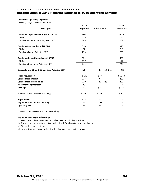# <span id="page-33-0"></span>Reconciliation of 3Q16 Reported Earnings to 3Q16 Operating Earnings

## **Unaudited, Operating Segments**

*(millions, except per share amounts)*

|                                                             | 3Q16     |                     | 3Q16             |
|-------------------------------------------------------------|----------|---------------------|------------------|
| Description                                                 | Reported | <b>Adjustments</b>  | <b>Operating</b> |
| <b>Dominion Virginia Power Adjusted EBITDA</b>              | \$423    |                     | \$423            |
| DD&A                                                        | 135      |                     | 135              |
| Dominion Virginia Power Adjusted EBIT                       | 288      |                     | 288              |
| <b>Dominion Energy Adjusted EBITDA</b>                      | 310      |                     | 310              |
| DD&A                                                        | 77       |                     | 77               |
| Dominion Energy Adjusted EBIT                               | 233      |                     | 233              |
| <b>Dominion Generation Adjusted EBITDA</b>                  | 921      |                     | 921              |
| DD&A                                                        | 177      |                     | 177              |
| Dominion Generation Adjusted EBIT                           | 744      |                     | 744              |
| <b>Corporate and Other &amp; Eliminations Adjusted EBIT</b> | (70)     | 48<br>(a), (b), (c) | (22)             |
| <b>Total Adjusted EBIT</b>                                  | \$1,195  | \$48                | \$1,243          |
| <b>Consolidated Interest</b>                                | 237      | 0                   | 237              |
| <b>Consolidated Income Taxes</b>                            | 230      | (d)<br>22           | 252              |
| <b>Noncontrolling Interests</b>                             | 38       |                     | 38               |
| <b>Earnings</b>                                             | \$690    | \$26                | \$716            |
| Average Diluted Shares Outstanding                          | 626.0    | 626.0               | 626.0            |
| <b>Reported EPS</b>                                         | 1.10     | $---$               | ---              |
| <b>Adjustments to reported earnings</b>                     | ---      | 0.04                | ---              |
| <b>Operating EPS</b>                                        | $---$    | $---$               | 1.14             |

#### **Note: Totals may not add due to rounding**

## **Adjustments to Reported Earnings**

(a) Net gain/loss of our investment in nuclear decommissioning trust funds.

(b) Transaction and transition costs associated with Dominion Questar combination.

(c) Other miscellaneous items.

(d) Income tax provisions associated with adjustments to reported earnings.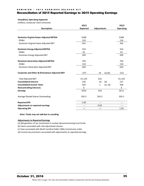# <span id="page-34-0"></span>Reconciliation of 3Q15 Reported Earnings to 3Q15 Operating Earnings

#### **Unaudited, Operating Segments**

*(millions, except per share amounts)*

|                                                             | 3Q15     |                    | 3Q15             |
|-------------------------------------------------------------|----------|--------------------|------------------|
| <b>Description</b>                                          | Reported | <b>Adjustments</b> | <b>Operating</b> |
|                                                             |          |                    |                  |
| <b>Dominion Virginia Power Adjusted EBITDA</b>              | \$388    |                    | \$388            |
| DD&A                                                        | 126      |                    | 126              |
| Dominion Virginia Power Adjusted EBIT                       | 262      |                    | 262              |
| <b>Dominion Energy Adjusted EBITDA</b>                      | 334      |                    | 334              |
| DD&A                                                        | 65       |                    | 65               |
| Dominion Energy Adjusted EBIT                               | 269      |                    | 269              |
| <b>Dominion Generation Adjusted EBITDA</b>                  | 794      |                    | 794              |
| DD&A                                                        | 154      |                    | 154              |
| Dominion Generation Adjusted EBIT                           | 640      |                    | 640              |
| <b>Corporate and Other &amp; Eliminations Adjusted EBIT</b> | (37)     | 16<br>(a), (b)     | (21)             |
| <b>Total Adjusted EBIT</b>                                  | \$1,134  | \$16               | \$1,150          |
| <b>Consolidated Interest</b>                                | 230      | (3)<br>(b)         | 227              |
| <b>Consolidated Income Taxes</b>                            | 305      | $(c)$ , $(d)$<br>1 | 306              |
| <b>Noncontrolling Interests</b>                             | 6        |                    | 6                |
| <b>Earnings</b>                                             | \$593    | \$18               | \$611            |
| Average Diluted Shares Outstanding                          | 595.5    | 595.5              | 595.5            |
| <b>Reported EPS</b>                                         | 1.00     | $---$              |                  |
| Adjustments to reported earnings                            | $---$    | 0.03               | ---              |
| <b>Operating EPS</b>                                        | $---$    | $---$              | 1.03             |
|                                                             |          |                    |                  |

**Note: Totals may not add due to rounding**

## **Adjustments to Reported Earnings**

(a) Net gain/loss of our investment in nuclear decommissioning trust funds.

(b) Items associated with rate adjustment clauses.

(c) Item associated with North Carolina Public Utility Commission order.

(d) Income tax provisions associated with adjustments to reported earnings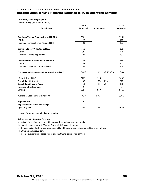## DOMINION - 3Q16 EARNINGS RELEASE KIT

# <span id="page-35-0"></span>Reconciliation of 4Q15 Reported Earnings to 4Q15 Operating Earnings

## **Unaudited, Operating Segments**

*(millions, except per share amounts)*

|                                                             | 4Q15     |             |                    | 4Q15             |
|-------------------------------------------------------------|----------|-------------|--------------------|------------------|
| <b>Description</b>                                          | Reported | Adjustments |                    | <b>Operating</b> |
|                                                             |          |             |                    |                  |
| <b>Dominion Virginia Power Adjusted EBITDA</b>              | \$361    |             |                    | \$361            |
| DD&A                                                        | 128      |             |                    | 128              |
| Dominion Virginia Power Adjusted EBIT                       | 233      |             |                    | 233              |
| <b>Dominion Energy Adjusted EBITDA</b>                      | 350      |             |                    | 350              |
| DD&A                                                        | 68       |             |                    | 68               |
| Dominion Energy Adjusted EBIT                               | 282      |             |                    | 282              |
| <b>Dominion Generation Adjusted EBITDA</b>                  | 456      |             |                    | 456              |
| DD&A                                                        | 147      |             |                    | 147              |
| Dominion Generation Adjusted EBIT                           | 309      |             |                    | 309              |
| <b>Corporate and Other &amp; Eliminations Adjusted EBIT</b> | (117)    | 95          | (a), (b), (c), (d) | (22)             |
| <b>Total Adjusted EBIT</b>                                  | \$707    | \$95        |                    | \$802            |
| <b>Consolidated Interest</b>                                | 230      | (3)         | (b), (d)           | 227              |
| <b>Consolidated Income Taxes</b>                            | 111      | 39          | (e)                | 150              |
| <b>Noncontrolling Interests</b>                             | 9        |             |                    | 9                |
| <b>Earnings</b>                                             | \$357    | \$59        |                    | \$416            |
| Average Diluted Shares Outstanding                          | 596.7    | 596.7       |                    | 596.7            |
| <b>Reported EPS</b>                                         | 0.60     | $---$       |                    | $---$            |
| Adjustments to reported earnings                            | $---$    | 0.10        |                    | $---$            |
| <b>Operating EPS</b>                                        | $---$    | ---         |                    | 0.70             |

#### **Note: Totals may not add due to rounding**

## **Adjustments to Reported Earnings**

(a) Net gain/loss of our investment in nuclear decommissioning trust funds.

(b) Items in connection with Virginia Power's 2015 biennial review.

(c) Items associated with future ash pond and landfill closure costs at certain utility power stations.

(d) Other miscellaneous items.

(e) Income tax provisions associated with adjustments to reported earnings